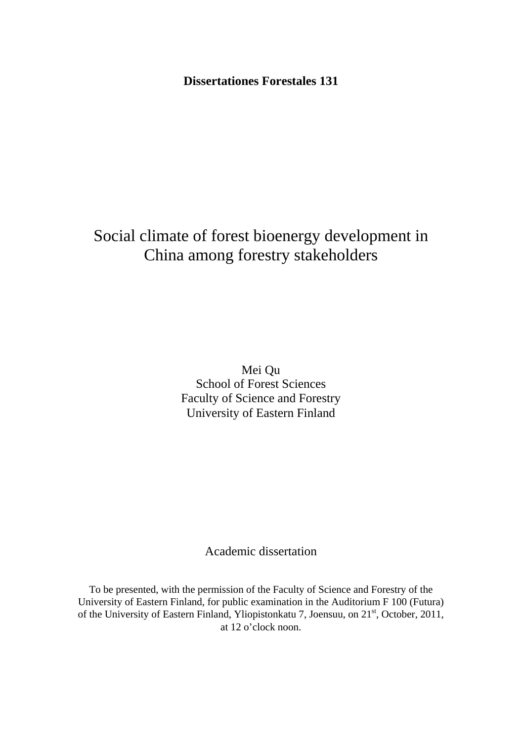**Dissertationes Forestales 131** 

# Social climate of forest bioenergy development in China among forestry stakeholders

Mei Qu School of Forest Sciences Faculty of Science and Forestry University of Eastern Finland

Academic dissertation

To be presented, with the permission of the Faculty of Science and Forestry of the University of Eastern Finland, for public examination in the Auditorium F 100 (Futura) of the University of Eastern Finland, Yliopistonkatu 7, Joensuu, on 21<sup>st</sup>, October, 2011, at 12 o'clock noon.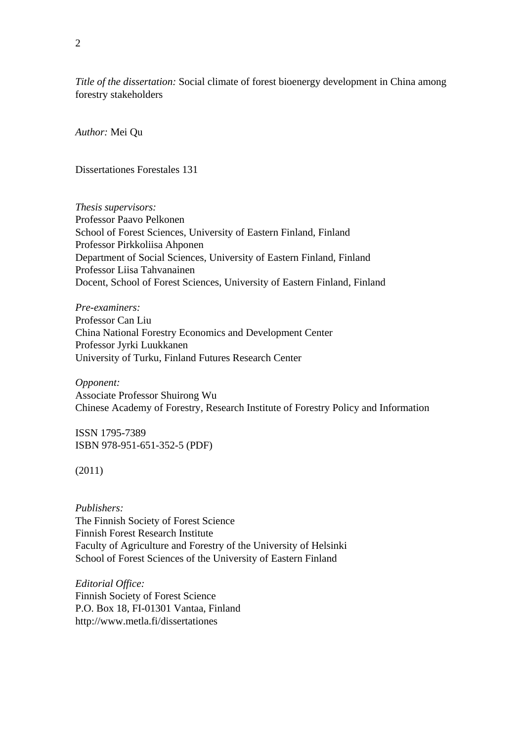*Title of the dissertation:* Social climate of forest bioenergy development in China among forestry stakeholders

*Author:* Mei Qu

Dissertationes Forestales 131

*Thesis supervisors:*  Professor Paavo Pelkonen School of Forest Sciences, University of Eastern Finland, Finland Professor Pirkkoliisa Ahponen Department of Social Sciences, University of Eastern Finland, Finland Professor Liisa Tahvanainen Docent, School of Forest Sciences, University of Eastern Finland, Finland

*Pre-examiners:*  Professor Can Liu China National Forestry Economics and Development Center Professor Jyrki Luukkanen University of Turku, Finland Futures Research Center

*Opponent:*  Associate Professor Shuirong Wu Chinese Academy of Forestry, Research Institute of Forestry Policy and Information

ISSN 1795-7389 ISBN 978-951-651-352-5 (PDF)

(2011)

*Publishers:*  The Finnish Society of Forest Science Finnish Forest Research Institute Faculty of Agriculture and Forestry of the University of Helsinki School of Forest Sciences of the University of Eastern Finland

*Editorial Office:*  Finnish Society of Forest Science P.O. Box 18, FI-01301 Vantaa, Finland http://www.metla.fi/dissertationes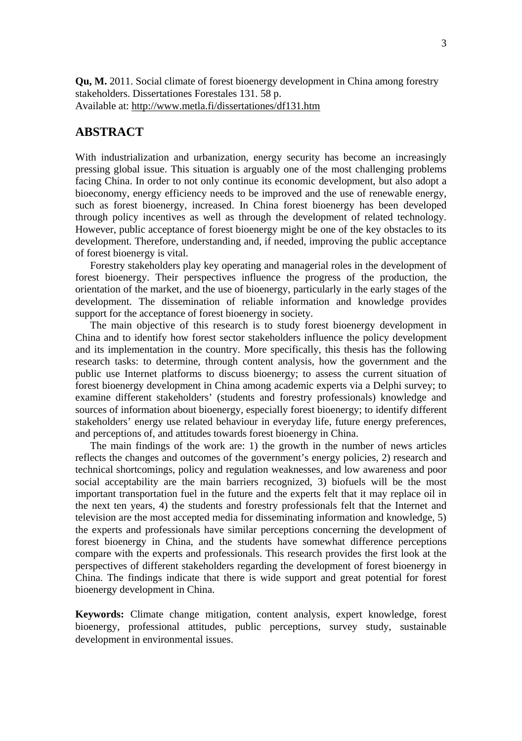**Qu, M.** 2011. Social climate of forest bioenergy development in China among forestry stakeholders. Dissertationes Forestales 131. 58 p. Available at: http://www.metla.fi/dissertationes/df131.htm

## **ABSTRACT**

With industrialization and urbanization, energy security has become an increasingly pressing global issue. This situation is arguably one of the most challenging problems facing China. In order to not only continue its economic development, but also adopt a bioeconomy, energy efficiency needs to be improved and the use of renewable energy, such as forest bioenergy, increased. In China forest bioenergy has been developed through policy incentives as well as through the development of related technology. However, public acceptance of forest bioenergy might be one of the key obstacles to its development. Therefore, understanding and, if needed, improving the public acceptance of forest bioenergy is vital.

Forestry stakeholders play key operating and managerial roles in the development of forest bioenergy. Their perspectives influence the progress of the production, the orientation of the market, and the use of bioenergy, particularly in the early stages of the development. The dissemination of reliable information and knowledge provides support for the acceptance of forest bioenergy in society.

The main objective of this research is to study forest bioenergy development in China and to identify how forest sector stakeholders influence the policy development and its implementation in the country. More specifically, this thesis has the following research tasks: to determine, through content analysis, how the government and the public use Internet platforms to discuss bioenergy; to assess the current situation of forest bioenergy development in China among academic experts via a Delphi survey; to examine different stakeholders' (students and forestry professionals) knowledge and sources of information about bioenergy, especially forest bioenergy; to identify different stakeholders' energy use related behaviour in everyday life, future energy preferences, and perceptions of, and attitudes towards forest bioenergy in China.

The main findings of the work are: 1) the growth in the number of news articles reflects the changes and outcomes of the government's energy policies, 2) research and technical shortcomings, policy and regulation weaknesses, and low awareness and poor social acceptability are the main barriers recognized, 3) biofuels will be the most important transportation fuel in the future and the experts felt that it may replace oil in the next ten years, 4) the students and forestry professionals felt that the Internet and television are the most accepted media for disseminating information and knowledge, 5) the experts and professionals have similar perceptions concerning the development of forest bioenergy in China, and the students have somewhat difference perceptions compare with the experts and professionals. This research provides the first look at the perspectives of different stakeholders regarding the development of forest bioenergy in China. The findings indicate that there is wide support and great potential for forest bioenergy development in China.

**Keywords:** Climate change mitigation, content analysis, expert knowledge, forest bioenergy, professional attitudes, public perceptions, survey study, sustainable development in environmental issues.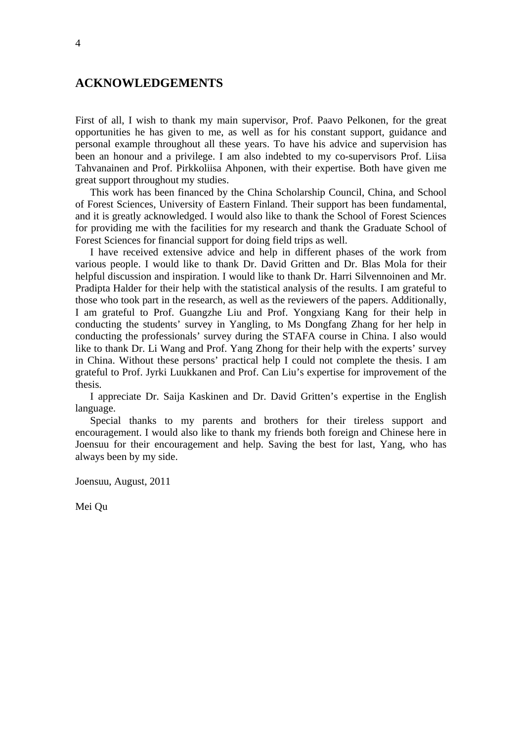## **ACKNOWLEDGEMENTS**

First of all, I wish to thank my main supervisor, Prof. Paavo Pelkonen, for the great opportunities he has given to me, as well as for his constant support, guidance and personal example throughout all these years. To have his advice and supervision has been an honour and a privilege. I am also indebted to my co-supervisors Prof. Liisa Tahvanainen and Prof. Pirkkoliisa Ahponen, with their expertise. Both have given me great support throughout my studies.

This work has been financed by the China Scholarship Council, China, and School of Forest Sciences, University of Eastern Finland. Their support has been fundamental, and it is greatly acknowledged. I would also like to thank the School of Forest Sciences for providing me with the facilities for my research and thank the Graduate School of Forest Sciences for financial support for doing field trips as well.

I have received extensive advice and help in different phases of the work from various people. I would like to thank Dr. David Gritten and Dr. Blas Mola for their helpful discussion and inspiration. I would like to thank Dr. Harri Silvennoinen and Mr. Pradipta Halder for their help with the statistical analysis of the results. I am grateful to those who took part in the research, as well as the reviewers of the papers. Additionally, I am grateful to Prof. Guangzhe Liu and Prof. Yongxiang Kang for their help in conducting the students' survey in Yangling, to Ms Dongfang Zhang for her help in conducting the professionals' survey during the STAFA course in China. I also would like to thank Dr. Li Wang and Prof. Yang Zhong for their help with the experts' survey in China. Without these persons' practical help I could not complete the thesis. I am grateful to Prof. Jyrki Luukkanen and Prof. Can Liu's expertise for improvement of the thesis.

I appreciate Dr. Saija Kaskinen and Dr. David Gritten's expertise in the English language.

Special thanks to my parents and brothers for their tireless support and encouragement. I would also like to thank my friends both foreign and Chinese here in Joensuu for their encouragement and help. Saving the best for last, Yang, who has always been by my side.

Joensuu, August, 2011

Mei Qu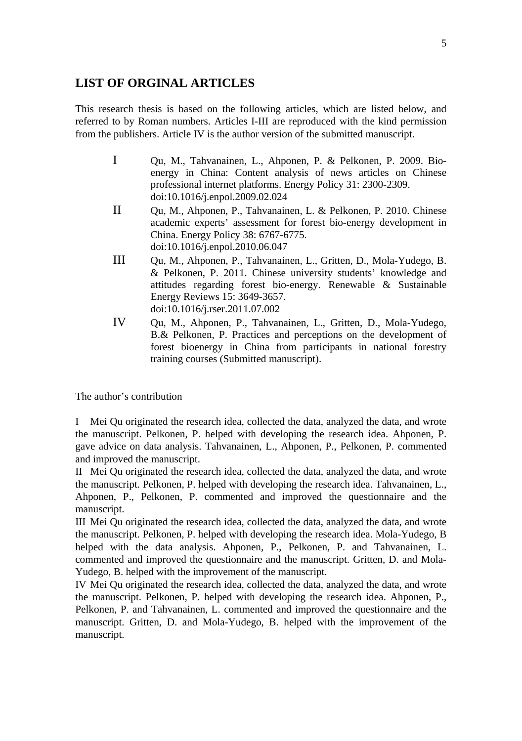## **LIST OF ORGINAL ARTICLES**

This research thesis is based on the following articles, which are listed below, and referred to by Roman numbers. Articles I-III are reproduced with the kind permission from the publishers. Article IV is the author version of the submitted manuscript.

- I Qu, M., Tahvanainen, L., Ahponen, P. & Pelkonen, P. 2009. Bioenergy in China: Content analysis of news articles on Chinese professional internet platforms. Energy Policy 31: 2300-2309. doi:10.1016/j.enpol.2009.02.024
- II Qu, M., Ahponen, P., Tahvanainen, L. & Pelkonen, P. 2010. Chinese academic experts' assessment for forest bio-energy development in China. Energy Policy 38: 6767-6775. doi:10.1016/j.enpol.2010.06.047
- III Qu, M., Ahponen, P., Tahvanainen, L., Gritten, D., Mola-Yudego, B. & Pelkonen, P. 2011. Chinese university students' knowledge and attitudes regarding forest bio-energy. Renewable & Sustainable Energy Reviews 15: 3649-3657. doi:10.1016/j.rser.2011.07.002
- IV Qu, M., Ahponen, P., Tahvanainen, L., Gritten, D., Mola-Yudego, B.& Pelkonen, P. Practices and perceptions on the development of forest bioenergy in China from participants in national forestry training courses (Submitted manuscript).

The author's contribution

I Mei Qu originated the research idea, collected the data, analyzed the data, and wrote the manuscript. Pelkonen, P. helped with developing the research idea. Ahponen, P. gave advice on data analysis. Tahvanainen, L., Ahponen, P., Pelkonen, P. commented and improved the manuscript.

II Mei Qu originated the research idea, collected the data, analyzed the data, and wrote the manuscript. Pelkonen, P. helped with developing the research idea. Tahvanainen, L., Ahponen, P., Pelkonen, P. commented and improved the questionnaire and the manuscript.

III Mei Qu originated the research idea, collected the data, analyzed the data, and wrote the manuscript. Pelkonen, P. helped with developing the research idea. Mola-Yudego, B helped with the data analysis. Ahponen, P., Pelkonen, P. and Tahvanainen, L. commented and improved the questionnaire and the manuscript. Gritten, D. and Mola-Yudego, B. helped with the improvement of the manuscript.

IV Mei Qu originated the research idea, collected the data, analyzed the data, and wrote the manuscript. Pelkonen, P. helped with developing the research idea. Ahponen, P., Pelkonen, P. and Tahvanainen, L. commented and improved the questionnaire and the manuscript. Gritten, D. and Mola-Yudego, B. helped with the improvement of the manuscript.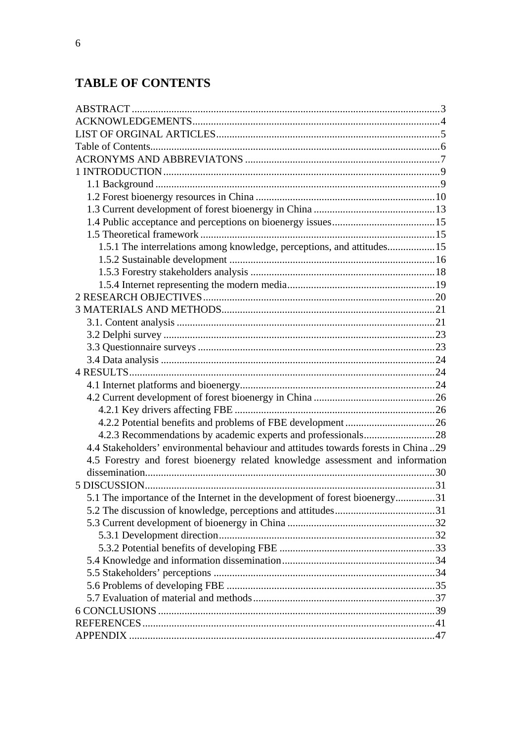## **TABLE OF CONTENTS**

| 1.5.1 The interrelations among knowledge, perceptions, and attitudes 15             |  |
|-------------------------------------------------------------------------------------|--|
|                                                                                     |  |
|                                                                                     |  |
|                                                                                     |  |
|                                                                                     |  |
|                                                                                     |  |
|                                                                                     |  |
|                                                                                     |  |
|                                                                                     |  |
|                                                                                     |  |
|                                                                                     |  |
|                                                                                     |  |
|                                                                                     |  |
|                                                                                     |  |
|                                                                                     |  |
|                                                                                     |  |
| 4.4 Stakeholders' environmental behaviour and attitudes towards forests in China 29 |  |
| 4.5 Forestry and forest bioenergy related knowledge assessment and information      |  |
|                                                                                     |  |
|                                                                                     |  |
| 5.1 The importance of the Internet in the development of forest bioenergy31         |  |
|                                                                                     |  |
|                                                                                     |  |
|                                                                                     |  |
|                                                                                     |  |
|                                                                                     |  |
|                                                                                     |  |
|                                                                                     |  |
|                                                                                     |  |
|                                                                                     |  |
|                                                                                     |  |
|                                                                                     |  |
|                                                                                     |  |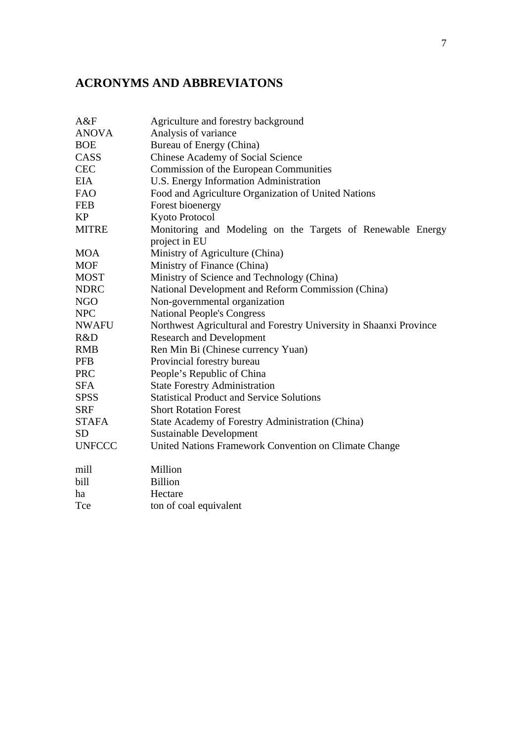## **ACRONYMS AND ABBREVIATONS**

| A&F           | Agriculture and forestry background                                |
|---------------|--------------------------------------------------------------------|
| <b>ANOVA</b>  | Analysis of variance                                               |
| <b>BOE</b>    | Bureau of Energy (China)                                           |
| CASS          | Chinese Academy of Social Science                                  |
| <b>CEC</b>    | Commission of the European Communities                             |
| EIA           | U.S. Energy Information Administration                             |
| <b>FAO</b>    | Food and Agriculture Organization of United Nations                |
| <b>FEB</b>    | Forest bioenergy                                                   |
| KP            | Kyoto Protocol                                                     |
| <b>MITRE</b>  | Monitoring and Modeling on the Targets of Renewable Energy         |
|               | project in EU                                                      |
| <b>MOA</b>    | Ministry of Agriculture (China)                                    |
| <b>MOF</b>    | Ministry of Finance (China)                                        |
| <b>MOST</b>   | Ministry of Science and Technology (China)                         |
| <b>NDRC</b>   | National Development and Reform Commission (China)                 |
| NGO           | Non-governmental organization                                      |
| <b>NPC</b>    | <b>National People's Congress</b>                                  |
| <b>NWAFU</b>  | Northwest Agricultural and Forestry University in Shaanxi Province |
| R&D           | <b>Research and Development</b>                                    |
| <b>RMB</b>    | Ren Min Bi (Chinese currency Yuan)                                 |
| PFB           | Provincial forestry bureau                                         |
| <b>PRC</b>    | People's Republic of China                                         |
| SFA.          | <b>State Forestry Administration</b>                               |
| <b>SPSS</b>   | <b>Statistical Product and Service Solutions</b>                   |
| <b>SRF</b>    | <b>Short Rotation Forest</b>                                       |
| <b>STAFA</b>  | State Academy of Forestry Administration (China)                   |
| SD            | <b>Sustainable Development</b>                                     |
| <b>UNFCCC</b> | United Nations Framework Convention on Climate Change              |
| mill          | Million                                                            |
| bill          | <b>Billion</b>                                                     |
| ha            | Hectare                                                            |
| Tce           | ton of coal equivalent                                             |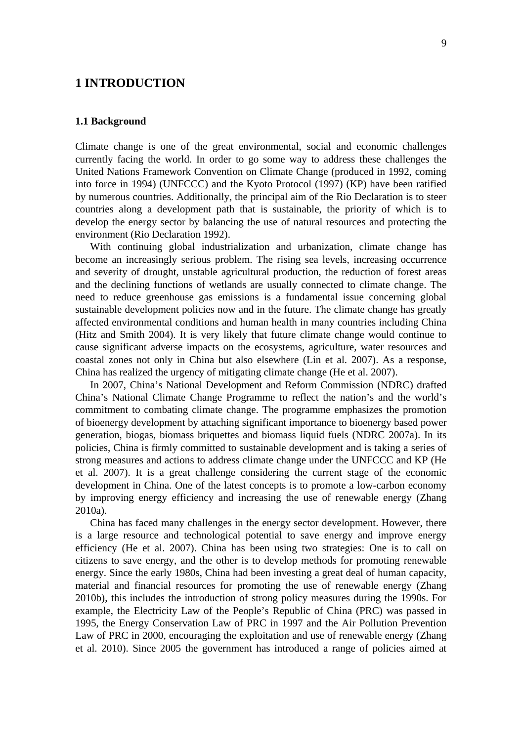## **1 INTRODUCTION**

#### **1.1 Background**

Climate change is one of the great environmental, social and economic challenges currently facing the world. In order to go some way to address these challenges the United Nations Framework Convention on Climate Change (produced in 1992, coming into force in 1994) (UNFCCC) and the Kyoto Protocol (1997) (KP) have been ratified by numerous countries. Additionally, the principal aim of the Rio Declaration is to steer countries along a development path that is sustainable, the priority of which is to develop the energy sector by balancing the use of natural resources and protecting the environment (Rio Declaration 1992).

 With continuing global industrialization and urbanization, climate change has become an increasingly serious problem. The rising sea levels, increasing occurrence and severity of drought, unstable agricultural production, the reduction of forest areas and the declining functions of wetlands are usually connected to climate change. The need to reduce greenhouse gas emissions is a fundamental issue concerning global sustainable development policies now and in the future. The climate change has greatly affected environmental conditions and human health in many countries including China (Hitz and Smith 2004). It is very likely that future climate change would continue to cause significant adverse impacts on the ecosystems, agriculture, water resources and coastal zones not only in China but also elsewhere (Lin et al. 2007). As a response, China has realized the urgency of mitigating climate change (He et al. 2007).

 In 2007, China's National Development and Reform Commission (NDRC) drafted China's National Climate Change Programme to reflect the nation's and the world's commitment to combating climate change. The programme emphasizes the promotion of bioenergy development by attaching significant importance to bioenergy based power generation, biogas, biomass briquettes and biomass liquid fuels (NDRC 2007a). In its policies, China is firmly committed to sustainable development and is taking a series of strong measures and actions to address climate change under the UNFCCC and KP (He et al. 2007). It is a great challenge considering the current stage of the economic development in China. One of the latest concepts is to promote a low-carbon economy by improving energy efficiency and increasing the use of renewable energy (Zhang 2010a).

 China has faced many challenges in the energy sector development. However, there is a large resource and technological potential to save energy and improve energy efficiency (He et al. 2007). China has been using two strategies: One is to call on citizens to save energy, and the other is to develop methods for promoting renewable energy. Since the early 1980s, China had been investing a great deal of human capacity, material and financial resources for promoting the use of renewable energy (Zhang 2010b), this includes the introduction of strong policy measures during the 1990s. For example, the Electricity Law of the People's Republic of China (PRC) was passed in 1995, the Energy Conservation Law of PRC in 1997 and the Air Pollution Prevention Law of PRC in 2000, encouraging the exploitation and use of renewable energy (Zhang et al. 2010). Since 2005 the government has introduced a range of policies aimed at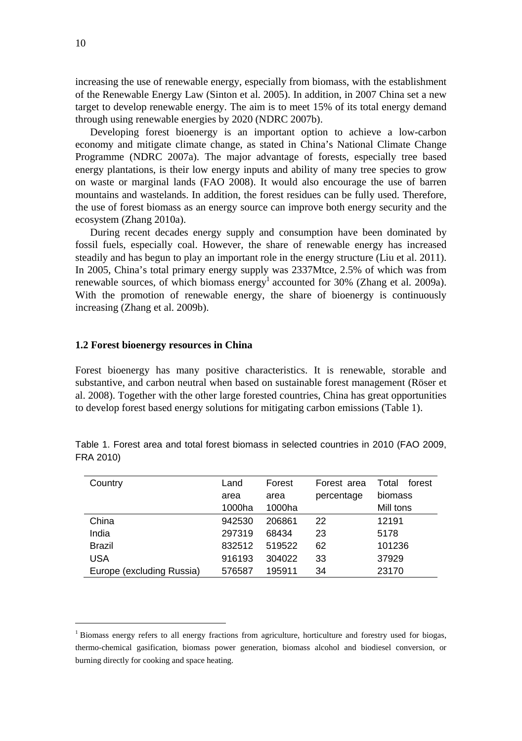increasing the use of renewable energy, especially from biomass, with the establishment of the Renewable Energy Law (Sinton et al. 2005). In addition, in 2007 China set a new target to develop renewable energy. The aim is to meet 15% of its total energy demand through using renewable energies by 2020 (NDRC 2007b).

 Developing forest bioenergy is an important option to achieve a low-carbon economy and mitigate climate change, as stated in China's National Climate Change Programme (NDRC 2007a). The major advantage of forests, especially tree based energy plantations, is their low energy inputs and ability of many tree species to grow on waste or marginal lands (FAO 2008). It would also encourage the use of barren mountains and wastelands. In addition, the forest residues can be fully used. Therefore, the use of forest biomass as an energy source can improve both energy security and the ecosystem (Zhang 2010a).

 During recent decades energy supply and consumption have been dominated by fossil fuels, especially coal. However, the share of renewable energy has increased steadily and has begun to play an important role in the energy structure (Liu et al. 2011). In 2005, China's total primary energy supply was 2337Mtce, 2.5% of which was from renewable sources, of which biomass energy<sup>1</sup> accounted for 30% (Zhang et al. 2009a). With the promotion of renewable energy, the share of bioenergy is continuously increasing (Zhang et al. 2009b).

#### **1.2 Forest bioenergy resources in China**

Forest bioenergy has many positive characteristics. It is renewable, storable and substantive, and carbon neutral when based on sustainable forest management (Röser et al. 2008). Together with the other large forested countries, China has great opportunities to develop forest based energy solutions for mitigating carbon emissions (Table 1).

| Country                   | Land   | Forest | Forest area | Total<br>forest |
|---------------------------|--------|--------|-------------|-----------------|
|                           | area   | area   | percentage  | biomass         |
|                           | 1000ha | 1000ha |             | Mill tons       |
| China                     | 942530 | 206861 | 22          | 12191           |
| India                     | 297319 | 68434  | 23          | 5178            |
| <b>Brazil</b>             | 832512 | 519522 | 62          | 101236          |
| <b>USA</b>                | 916193 | 304022 | 33          | 37929           |
| Europe (excluding Russia) | 576587 | 195911 | 34          | 23170           |

Table 1. Forest area and total forest biomass in selected countries in 2010 (FAO 2009, FRA 2010)

 $\overline{\phantom{a}}$ 

<sup>&</sup>lt;sup>1</sup> Biomass energy refers to all energy fractions from agriculture, horticulture and forestry used for biogas, thermo-chemical gasification, biomass power generation, biomass alcohol and biodiesel conversion, or burning directly for cooking and space heating.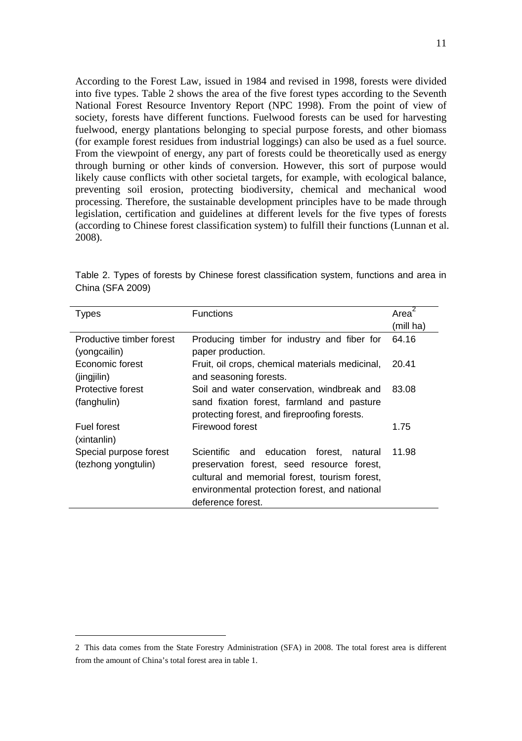According to the Forest Law, issued in 1984 and revised in 1998, forests were divided into five types. Table 2 shows the area of the five forest types according to the Seventh National Forest Resource Inventory Report (NPC 1998). From the point of view of society, forests have different functions. Fuelwood forests can be used for harvesting fuelwood, energy plantations belonging to special purpose forests, and other biomass (for example forest residues from industrial loggings) can also be used as a fuel source. From the viewpoint of energy, any part of forests could be theoretically used as energy through burning or other kinds of conversion. However, this sort of purpose would likely cause conflicts with other societal targets, for example, with ecological balance, preventing soil erosion, protecting biodiversity, chemical and mechanical wood processing. Therefore, the sustainable development principles have to be made through legislation, certification and guidelines at different levels for the five types of forests (according to Chinese forest classification system) to fulfill their functions (Lunnan et al. 2008).

| Types                    | <b>Functions</b>                                | Area      |
|--------------------------|-------------------------------------------------|-----------|
|                          |                                                 | (mill ha) |
| Productive timber forest | Producing timber for industry and fiber for     | 64.16     |
| (yongcailin)             | paper production.                               |           |
| Economic forest          | Fruit, oil crops, chemical materials medicinal, | 20.41     |
| (jingjilin)              | and seasoning forests.                          |           |
| Protective forest        | Soil and water conservation, windbreak and      | 83.08     |
| (fanghulin)              | sand fixation forest, farmland and pasture      |           |
|                          | protecting forest, and fireproofing forests.    |           |
| Fuel forest              | Firewood forest                                 | 1.75      |
| (xintanlin)              |                                                 |           |
| Special purpose forest   | Scientific and education<br>forest.<br>natural  | 11.98     |
| (tezhong yongtulin)      | preservation forest, seed resource forest,      |           |
|                          | cultural and memorial forest, tourism forest,   |           |
|                          | environmental protection forest, and national   |           |
|                          | deference forest.                               |           |

Table 2. Types of forests by Chinese forest classification system, functions and area in China (SFA 2009)

 $\overline{\phantom{a}}$ 

<sup>2</sup> This data comes from the State Forestry Administration (SFA) in 2008. The total forest area is different from the amount of China's total forest area in table 1.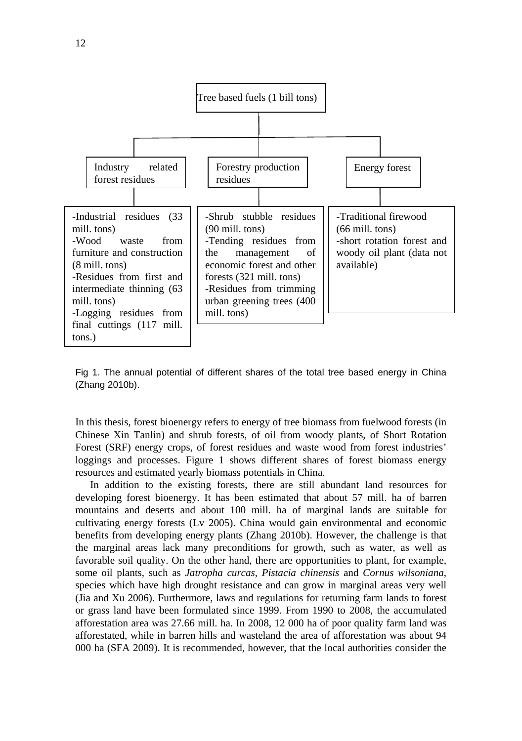

Fig 1. The annual potential of different shares of the total tree based energy in China (Zhang 2010b).

In this thesis, forest bioenergy refers to energy of tree biomass from fuelwood forests (in Chinese Xin Tanlin) and shrub forests, of oil from woody plants, of Short Rotation Forest (SRF) energy crops, of forest residues and waste wood from forest industries' loggings and processes. Figure 1 shows different shares of forest biomass energy resources and estimated yearly biomass potentials in China.

 In addition to the existing forests, there are still abundant land resources for developing forest bioenergy. It has been estimated that about 57 mill. ha of barren mountains and deserts and about 100 mill. ha of marginal lands are suitable for cultivating energy forests (Lv 2005). China would gain environmental and economic benefits from developing energy plants (Zhang 2010b). However, the challenge is that the marginal areas lack many preconditions for growth, such as water, as well as favorable soil quality. On the other hand, there are opportunities to plant, for example, some oil plants, such as *Jatropha curcas*, *Pistacia chinensis* and *Cornus wilsoniana*, species which have high drought resistance and can grow in marginal areas very well (Jia and Xu 2006). Furthermore, laws and regulations for returning farm lands to forest or grass land have been formulated since 1999. From 1990 to 2008, the accumulated afforestation area was 27.66 mill. ha. In 2008, 12 000 ha of poor quality farm land was afforestated, while in barren hills and wasteland the area of afforestation was about 94 000 ha (SFA 2009). It is recommended, however, that the local authorities consider the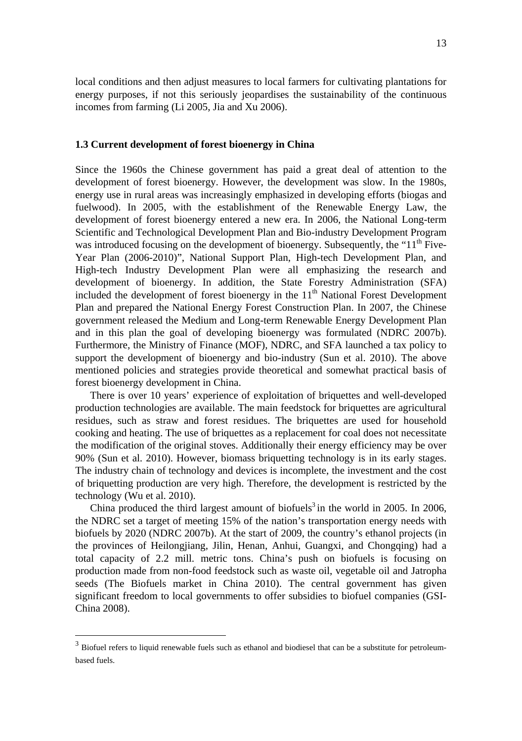local conditions and then adjust measures to local farmers for cultivating plantations for energy purposes, if not this seriously jeopardises the sustainability of the continuous incomes from farming (Li 2005, Jia and Xu 2006).

#### **1.3 Current development of forest bioenergy in China**

Since the 1960s the Chinese government has paid a great deal of attention to the development of forest bioenergy. However, the development was slow. In the 1980s, energy use in rural areas was increasingly emphasized in developing efforts (biogas and fuelwood). In 2005, with the establishment of the Renewable Energy Law, the development of forest bioenergy entered a new era. In 2006, the National Long-term Scientific and Technological Development Plan and Bio-industry Development Program was introduced focusing on the development of bioenergy. Subsequently, the " $11<sup>th</sup>$  Five-Year Plan (2006-2010)", National Support Plan, High-tech Development Plan, and High-tech Industry Development Plan were all emphasizing the research and development of bioenergy. In addition, the State Forestry Administration (SFA) included the development of forest bioenergy in the  $11<sup>th</sup>$  National Forest Development Plan and prepared the National Energy Forest Construction Plan. In 2007, the Chinese government released the Medium and Long-term Renewable Energy Development Plan and in this plan the goal of developing bioenergy was formulated (NDRC 2007b). Furthermore, the Ministry of Finance (MOF), NDRC, and SFA launched a tax policy to support the development of bioenergy and bio-industry (Sun et al. 2010). The above mentioned policies and strategies provide theoretical and somewhat practical basis of forest bioenergy development in China.

 There is over 10 years' experience of exploitation of briquettes and well-developed production technologies are available. The main feedstock for briquettes are agricultural residues, such as straw and forest residues. The briquettes are used for household cooking and heating. The use of briquettes as a replacement for coal does not necessitate the modification of the original stoves. Additionally their energy efficiency may be over 90% (Sun et al. 2010). However, biomass briquetting technology is in its early stages. The industry chain of technology and devices is incomplete, the investment and the cost of briquetting production are very high. Therefore, the development is restricted by the technology (Wu et al. 2010).

China produced the third largest amount of biofuels<sup>3</sup> in the world in 2005. In 2006, the NDRC set a target of meeting 15% of the nation's transportation energy needs with biofuels by 2020 (NDRC 2007b). At the start of 2009, the country's ethanol projects (in the provinces of Heilongjiang, Jilin, Henan, Anhui, Guangxi, and Chongqing) had a total capacity of 2.2 mill. metric tons. China's push on biofuels is focusing on production made from non-food feedstock such as waste oil, vegetable oil and Jatropha seeds (The Biofuels market in China 2010). The central government has given significant freedom to local governments to offer subsidies to biofuel companies (GSI-China 2008).

 $\overline{\phantom{a}}$ 

<sup>&</sup>lt;sup>3</sup> Biofuel refers to liquid renewable fuels such as ethanol and biodiesel that can be a substitute for petroleumbased fuels.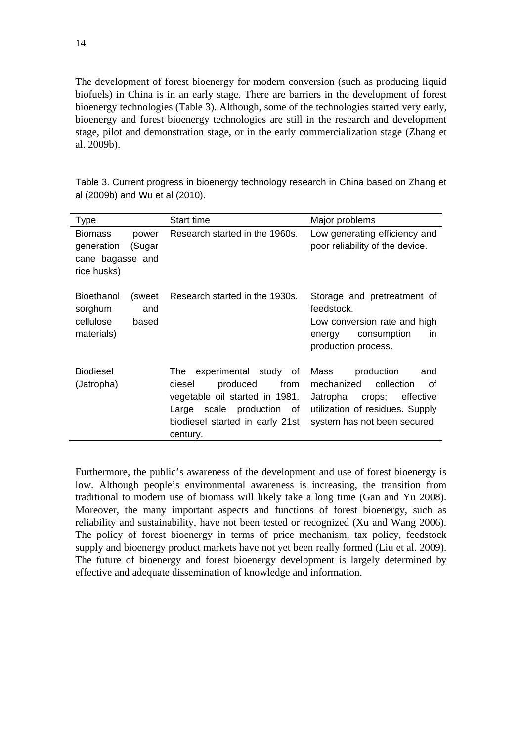The development of forest bioenergy for modern conversion (such as producing liquid biofuels) in China is in an early stage. There are barriers in the development of forest bioenergy technologies (Table 3). Although, some of the technologies started very early, bioenergy and forest bioenergy technologies are still in the research and development stage, pilot and demonstration stage, or in the early commercialization stage (Zhang et al. 2009b).

| <b>Type</b>                                                     |                        | Start time                                                                                                                                                                  | Major problems                                                                                                                                                 |
|-----------------------------------------------------------------|------------------------|-----------------------------------------------------------------------------------------------------------------------------------------------------------------------------|----------------------------------------------------------------------------------------------------------------------------------------------------------------|
| <b>Biomass</b><br>generation<br>cane bagasse and<br>rice husks) | power<br>(Sugar        | Research started in the 1960s.                                                                                                                                              | Low generating efficiency and<br>poor reliability of the device.                                                                                               |
| Bioethanol<br>sorghum<br>cellulose<br>materials)                | (sweet<br>and<br>based | Research started in the 1930s.                                                                                                                                              | Storage and pretreatment of<br>feedstock.<br>Low conversion rate and high<br>consumption<br>in.<br>energy<br>production process.                               |
| <b>Biodiesel</b><br>(Jatropha)                                  |                        | experimental study of<br>The<br>diesel<br>produced<br>from<br>vegetable oil started in 1981.<br>scale production of<br>Large<br>biodiesel started in early 21st<br>century. | production<br>Mass<br>and<br>collection<br>mechanized<br>οf<br>Jatropha<br>crops; effective<br>utilization of residues. Supply<br>system has not been secured. |

Table 3. Current progress in bioenergy technology research in China based on Zhang et al (2009b) and Wu et al (2010).

Furthermore, the public's awareness of the development and use of forest bioenergy is low. Although people's environmental awareness is increasing, the transition from traditional to modern use of biomass will likely take a long time (Gan and Yu 2008). Moreover, the many important aspects and functions of forest bioenergy, such as reliability and sustainability, have not been tested or recognized (Xu and Wang 2006). The policy of forest bioenergy in terms of price mechanism, tax policy, feedstock supply and bioenergy product markets have not yet been really formed (Liu et al. 2009). The future of bioenergy and forest bioenergy development is largely determined by effective and adequate dissemination of knowledge and information.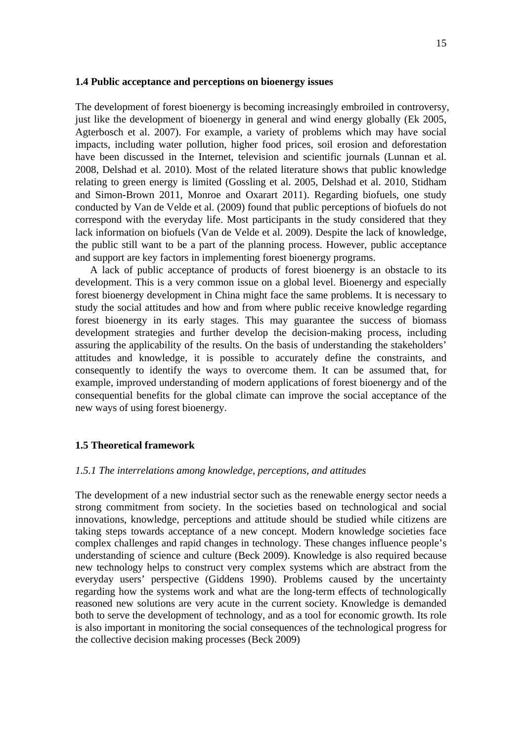#### **1.4 Public acceptance and perceptions on bioenergy issues**

The development of forest bioenergy is becoming increasingly embroiled in controversy, just like the development of bioenergy in general and wind energy globally (Ek 2005, Agterbosch et al. 2007). For example, a variety of problems which may have social impacts, including water pollution, higher food prices, soil erosion and deforestation have been discussed in the Internet, television and scientific journals (Lunnan et al. 2008, Delshad et al. 2010). Most of the related literature shows that public knowledge relating to green energy is limited (Gossling et al. 2005, Delshad et al. 2010, Stidham and Simon-Brown 2011, Monroe and Oxarart 2011). Regarding biofuels, one study conducted by Van de Velde et al. (2009) found that public perceptions of biofuels do not correspond with the everyday life. Most participants in the study considered that they lack information on biofuels (Van de Velde et al. 2009). Despite the lack of knowledge, the public still want to be a part of the planning process. However, public acceptance and support are key factors in implementing forest bioenergy programs.

 A lack of public acceptance of products of forest bioenergy is an obstacle to its development. This is a very common issue on a global level. Bioenergy and especially forest bioenergy development in China might face the same problems. It is necessary to study the social attitudes and how and from where public receive knowledge regarding forest bioenergy in its early stages. This may guarantee the success of biomass development strategies and further develop the decision-making process, including assuring the applicability of the results. On the basis of understanding the stakeholders' attitudes and knowledge, it is possible to accurately define the constraints, and consequently to identify the ways to overcome them. It can be assumed that, for example, improved understanding of modern applications of forest bioenergy and of the consequential benefits for the global climate can improve the social acceptance of the new ways of using forest bioenergy.

#### **1.5 Theoretical framework**

#### *1.5.1 The interrelations among knowledge, perceptions, and attitudes*

The development of a new industrial sector such as the renewable energy sector needs a strong commitment from society. In the societies based on technological and social innovations, knowledge, perceptions and attitude should be studied while citizens are taking steps towards acceptance of a new concept. Modern knowledge societies face complex challenges and rapid changes in technology. These changes influence people's understanding of science and culture (Beck 2009). Knowledge is also required because new technology helps to construct very complex systems which are abstract from the everyday users' perspective (Giddens 1990). Problems caused by the uncertainty regarding how the systems work and what are the long-term effects of technologically reasoned new solutions are very acute in the current society. Knowledge is demanded both to serve the development of technology, and as a tool for economic growth. Its role is also important in monitoring the social consequences of the technological progress for the collective decision making processes (Beck 2009)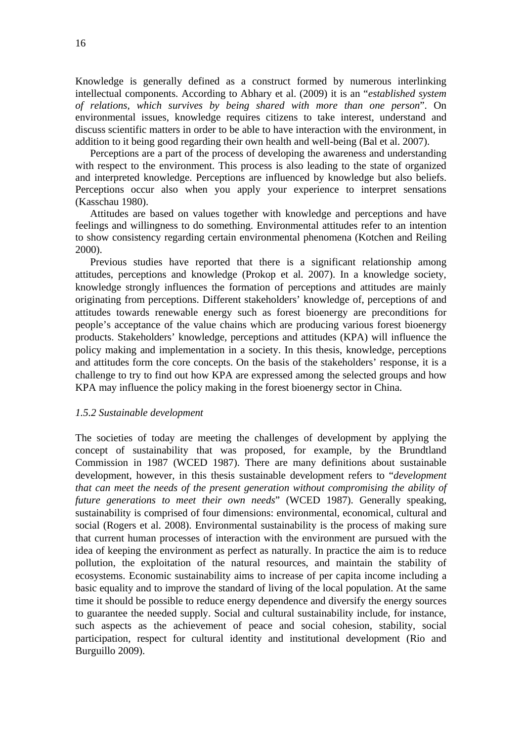Knowledge is generally defined as a construct formed by numerous interlinking intellectual components. According to Abhary et al. (2009) it is an "*established system of relations, which survives by being shared with more than one person*". On environmental issues, knowledge requires citizens to take interest, understand and discuss scientific matters in order to be able to have interaction with the environment, in addition to it being good regarding their own health and well-being (Bal et al. 2007).

Perceptions are a part of the process of developing the awareness and understanding with respect to the environment. This process is also leading to the state of organized and interpreted knowledge. Perceptions are influenced by knowledge but also beliefs. Perceptions occur also when you apply your experience to interpret sensations (Kasschau 1980).

Attitudes are based on values together with knowledge and perceptions and have feelings and willingness to do something. Environmental attitudes refer to an intention to show consistency regarding certain environmental phenomena (Kotchen and Reiling 2000).

Previous studies have reported that there is a significant relationship among attitudes, perceptions and knowledge (Prokop et al. 2007). In a knowledge society, knowledge strongly influences the formation of perceptions and attitudes are mainly originating from perceptions. Different stakeholders' knowledge of, perceptions of and attitudes towards renewable energy such as forest bioenergy are preconditions for people's acceptance of the value chains which are producing various forest bioenergy products. Stakeholders' knowledge, perceptions and attitudes (KPA) will influence the policy making and implementation in a society. In this thesis, knowledge, perceptions and attitudes form the core concepts. On the basis of the stakeholders' response, it is a challenge to try to find out how KPA are expressed among the selected groups and how KPA may influence the policy making in the forest bioenergy sector in China.

#### *1.5.2 Sustainable development*

The societies of today are meeting the challenges of development by applying the concept of sustainability that was proposed, for example, by the Brundtland Commission in 1987 (WCED 1987). There are many definitions about sustainable development, however, in this thesis sustainable development refers to "*development that can meet the needs of the present generation without compromising the ability of future generations to meet their own needs*" (WCED 1987). Generally speaking, sustainability is comprised of four dimensions: environmental, economical, cultural and social (Rogers et al. 2008). Environmental sustainability is the process of making sure that current human processes of interaction with the environment are pursued with the idea of keeping the environment as perfect as naturally. In practice the aim is to reduce pollution, the exploitation of the natural resources, and maintain the stability of ecosystems. Economic sustainability aims to increase of per capita income including a basic equality and to improve the standard of living of the local population. At the same time it should be possible to reduce energy dependence and diversify the energy sources to guarantee the needed supply. Social and cultural sustainability include, for instance, such aspects as the achievement of peace and social cohesion, stability, social participation, respect for cultural identity and institutional development (Rio and Burguillo 2009).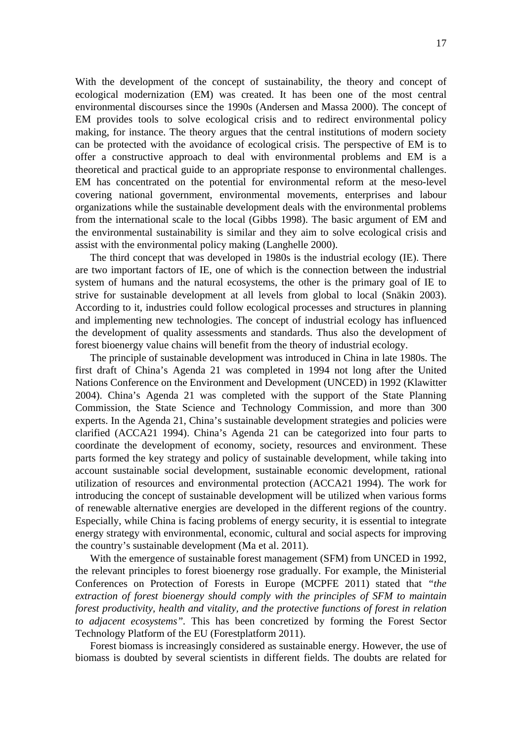With the development of the concept of sustainability, the theory and concept of ecological modernization (EM) was created. It has been one of the most central environmental discourses since the 1990s (Andersen and Massa 2000). The concept of EM provides tools to solve ecological crisis and to redirect environmental policy making, for instance. The theory argues that the central institutions of modern society can be protected with the avoidance of ecological crisis. The perspective of EM is to offer a constructive approach to deal with environmental problems and EM is a theoretical and practical guide to an appropriate response to environmental challenges. EM has concentrated on the potential for environmental reform at the meso-level covering national government, environmental movements, enterprises and labour organizations while the sustainable development deals with the environmental problems from the international scale to the local (Gibbs 1998). The basic argument of EM and the environmental sustainability is similar and they aim to solve ecological crisis and assist with the environmental policy making (Langhelle 2000).

The third concept that was developed in 1980s is the industrial ecology (IE). There are two important factors of IE, one of which is the connection between the industrial system of humans and the natural ecosystems, the other is the primary goal of IE to strive for sustainable development at all levels from global to local (Snäkin 2003). According to it, industries could follow ecological processes and structures in planning and implementing new technologies. The concept of industrial ecology has influenced the development of quality assessments and standards. Thus also the development of forest bioenergy value chains will benefit from the theory of industrial ecology.

The principle of sustainable development was introduced in China in late 1980s. The first draft of China's Agenda 21 was completed in 1994 not long after the United Nations Conference on the Environment and Development (UNCED) in 1992 (Klawitter 2004). China's Agenda 21 was completed with the support of the State Planning Commission, the State Science and Technology Commission, and more than 300 experts. In the Agenda 21, China's sustainable development strategies and policies were clarified (ACCA21 1994). China's Agenda 21 can be categorized into four parts to coordinate the development of economy, society, resources and environment. These parts formed the key strategy and policy of sustainable development, while taking into account sustainable social development, sustainable economic development, rational utilization of resources and environmental protection (ACCA21 1994). The work for introducing the concept of sustainable development will be utilized when various forms of renewable alternative energies are developed in the different regions of the country. Especially, while China is facing problems of energy security, it is essential to integrate energy strategy with environmental, economic, cultural and social aspects for improving the country's sustainable development (Ma et al. 2011).

With the emergence of sustainable forest management (SFM) from UNCED in 1992, the relevant principles to forest bioenergy rose gradually. For example, the Ministerial Conferences on Protection of Forests in Europe (MCPFE 2011) stated that *"the extraction of forest bioenergy should comply with the principles of SFM to maintain forest productivity, health and vitality, and the protective functions of forest in relation to adjacent ecosystems".* This has been concretized by forming the Forest Sector Technology Platform of the EU (Forestplatform 2011).

Forest biomass is increasingly considered as sustainable energy. However, the use of biomass is doubted by several scientists in different fields. The doubts are related for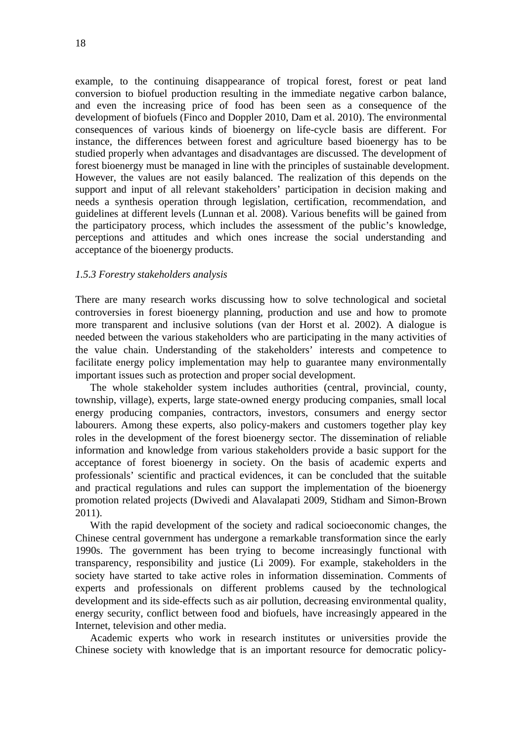example, to the continuing disappearance of tropical forest, forest or peat land conversion to biofuel production resulting in the immediate negative carbon balance, and even the increasing price of food has been seen as a consequence of the development of biofuels (Finco and Doppler 2010, Dam et al. 2010). The environmental consequences of various kinds of bioenergy on life-cycle basis are different. For instance, the differences between forest and agriculture based bioenergy has to be studied properly when advantages and disadvantages are discussed. The development of forest bioenergy must be managed in line with the principles of sustainable development. However, the values are not easily balanced. The realization of this depends on the support and input of all relevant stakeholders' participation in decision making and needs a synthesis operation through legislation, certification, recommendation, and guidelines at different levels (Lunnan et al. 2008). Various benefits will be gained from the participatory process, which includes the assessment of the public's knowledge, perceptions and attitudes and which ones increase the social understanding and acceptance of the bioenergy products.

#### *1.5.3 Forestry stakeholders analysis*

There are many research works discussing how to solve technological and societal controversies in forest bioenergy planning, production and use and how to promote more transparent and inclusive solutions (van der Horst et al. 2002). A dialogue is needed between the various stakeholders who are participating in the many activities of the value chain. Understanding of the stakeholders' interests and competence to facilitate energy policy implementation may help to guarantee many environmentally important issues such as protection and proper social development.

The whole stakeholder system includes authorities (central, provincial, county, township, village), experts, large state-owned energy producing companies, small local energy producing companies, contractors, investors, consumers and energy sector labourers. Among these experts, also policy-makers and customers together play key roles in the development of the forest bioenergy sector. The dissemination of reliable information and knowledge from various stakeholders provide a basic support for the acceptance of forest bioenergy in society. On the basis of academic experts and professionals' scientific and practical evidences, it can be concluded that the suitable and practical regulations and rules can support the implementation of the bioenergy promotion related projects (Dwivedi and Alavalapati 2009, Stidham and Simon-Brown 2011).

With the rapid development of the society and radical socioeconomic changes, the Chinese central government has undergone a remarkable transformation since the early 1990s. The government has been trying to become increasingly functional with transparency, responsibility and justice (Li 2009). For example, stakeholders in the society have started to take active roles in information dissemination. Comments of experts and professionals on different problems caused by the technological development and its side-effects such as air pollution, decreasing environmental quality, energy security, conflict between food and biofuels, have increasingly appeared in the Internet, television and other media.

Academic experts who work in research institutes or universities provide the Chinese society with knowledge that is an important resource for democratic policy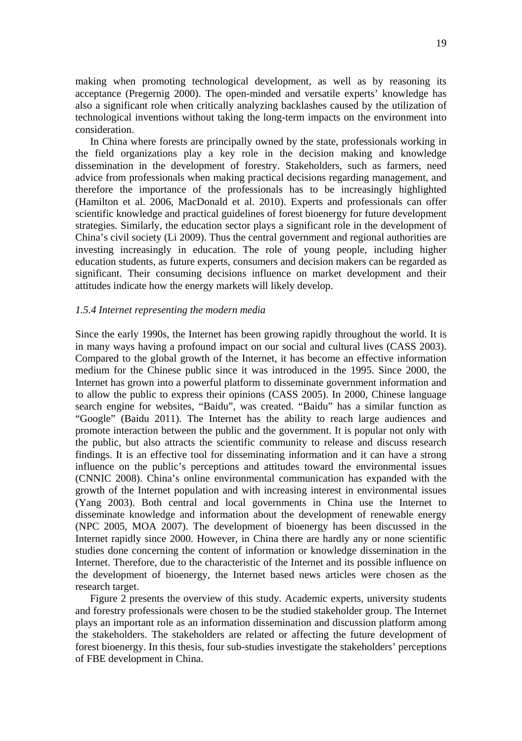making when promoting technological development, as well as by reasoning its acceptance (Pregernig 2000). The open-minded and versatile experts' knowledge has also a significant role when critically analyzing backlashes caused by the utilization of technological inventions without taking the long-term impacts on the environment into consideration.

In China where forests are principally owned by the state, professionals working in the field organizations play a key role in the decision making and knowledge dissemination in the development of forestry. Stakeholders, such as farmers, need advice from professionals when making practical decisions regarding management, and therefore the importance of the professionals has to be increasingly highlighted (Hamilton et al. 2006, MacDonald et al. 2010). Experts and professionals can offer scientific knowledge and practical guidelines of forest bioenergy for future development strategies. Similarly, the education sector plays a significant role in the development of China's civil society (Li 2009). Thus the central government and regional authorities are investing increasingly in education. The role of young people, including higher education students, as future experts, consumers and decision makers can be regarded as significant. Their consuming decisions influence on market development and their attitudes indicate how the energy markets will likely develop.

#### *1.5.4 Internet representing the modern media*

Since the early 1990s, the Internet has been growing rapidly throughout the world. It is in many ways having a profound impact on our social and cultural lives (CASS 2003). Compared to the global growth of the Internet, it has become an effective information medium for the Chinese public since it was introduced in the 1995. Since 2000, the Internet has grown into a powerful platform to disseminate government information and to allow the public to express their opinions (CASS 2005). In 2000, Chinese language search engine for websites, "Baidu", was created. "Baidu" has a similar function as "Google" (Baidu 2011). The Internet has the ability to reach large audiences and promote interaction between the public and the government. It is popular not only with the public, but also attracts the scientific community to release and discuss research findings. It is an effective tool for disseminating information and it can have a strong influence on the public's perceptions and attitudes toward the environmental issues (CNNIC 2008). China's online environmental communication has expanded with the growth of the Internet population and with increasing interest in environmental issues (Yang 2003). Both central and local governments in China use the Internet to disseminate knowledge and information about the development of renewable energy (NPC 2005, MOA 2007). The development of bioenergy has been discussed in the Internet rapidly since 2000. However, in China there are hardly any or none scientific studies done concerning the content of information or knowledge dissemination in the Internet. Therefore, due to the characteristic of the Internet and its possible influence on the development of bioenergy, the Internet based news articles were chosen as the research target.

Figure 2 presents the overview of this study. Academic experts, university students and forestry professionals were chosen to be the studied stakeholder group. The Internet plays an important role as an information dissemination and discussion platform among the stakeholders. The stakeholders are related or affecting the future development of forest bioenergy. In this thesis, four sub-studies investigate the stakeholders' perceptions of FBE development in China.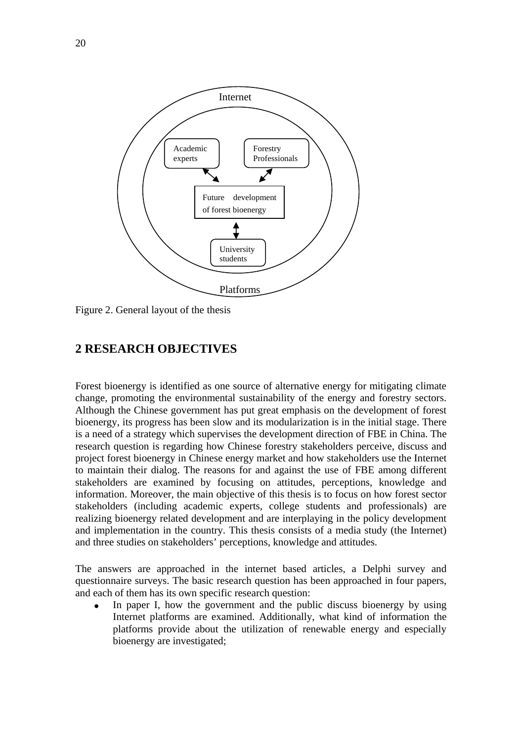

Figure 2. General layout of the thesis

## **2 RESEARCH OBJECTIVES**

Forest bioenergy is identified as one source of alternative energy for mitigating climate change, promoting the environmental sustainability of the energy and forestry sectors. Although the Chinese government has put great emphasis on the development of forest bioenergy, its progress has been slow and its modularization is in the initial stage. There is a need of a strategy which supervises the development direction of FBE in China. The research question is regarding how Chinese forestry stakeholders perceive, discuss and project forest bioenergy in Chinese energy market and how stakeholders use the Internet to maintain their dialog. The reasons for and against the use of FBE among different stakeholders are examined by focusing on attitudes, perceptions, knowledge and information. Moreover, the main objective of this thesis is to focus on how forest sector stakeholders (including academic experts, college students and professionals) are realizing bioenergy related development and are interplaying in the policy development and implementation in the country. This thesis consists of a media study (the Internet) and three studies on stakeholders' perceptions, knowledge and attitudes.

The answers are approached in the internet based articles, a Delphi survey and questionnaire surveys. The basic research question has been approached in four papers, and each of them has its own specific research question:

 In paper I, how the government and the public discuss bioenergy by using Internet platforms are examined. Additionally, what kind of information the platforms provide about the utilization of renewable energy and especially bioenergy are investigated;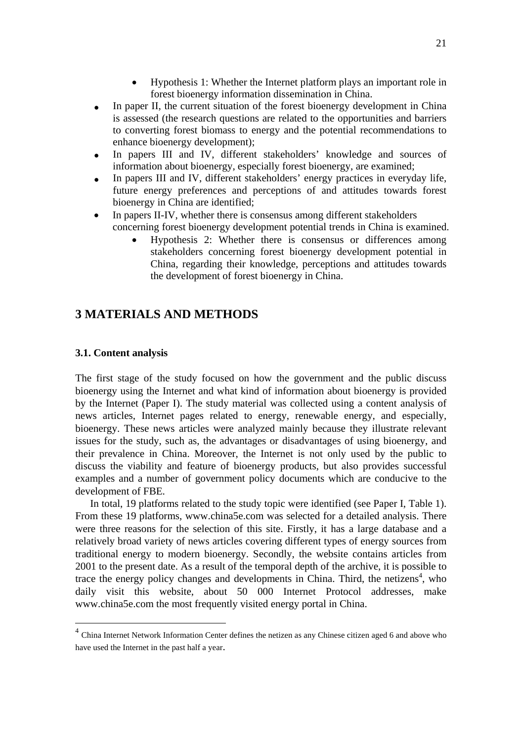- Hypothesis 1: Whether the Internet platform plays an important role in forest bioenergy information dissemination in China.
- In paper II, the current situation of the forest bioenergy development in China is assessed (the research questions are related to the opportunities and barriers to converting forest biomass to energy and the potential recommendations to enhance bioenergy development);
- In papers III and IV, different stakeholders' knowledge and sources of information about bioenergy, especially forest bioenergy, are examined;
- In papers III and IV, different stakeholders' energy practices in everyday life, future energy preferences and perceptions of and attitudes towards forest bioenergy in China are identified;
- In papers II-IV, whether there is consensus among different stakeholders concerning forest bioenergy development potential trends in China is examined.
	- Hypothesis 2: Whether there is consensus or differences among stakeholders concerning forest bioenergy development potential in China, regarding their knowledge, perceptions and attitudes towards the development of forest bioenergy in China.

## **3 MATERIALS AND METHODS**

### **3.1. Content analysis**

 $\overline{\phantom{a}}$ 

The first stage of the study focused on how the government and the public discuss bioenergy using the Internet and what kind of information about bioenergy is provided by the Internet (Paper I). The study material was collected using a content analysis of news articles, Internet pages related to energy, renewable energy, and especially, bioenergy. These news articles were analyzed mainly because they illustrate relevant issues for the study, such as, the advantages or disadvantages of using bioenergy, and their prevalence in China. Moreover, the Internet is not only used by the public to discuss the viability and feature of bioenergy products, but also provides successful examples and a number of government policy documents which are conducive to the development of FBE.

In total, 19 platforms related to the study topic were identified (see Paper I, Table 1). From these 19 platforms, www.china5e.com was selected for a detailed analysis. There were three reasons for the selection of this site. Firstly, it has a large database and a relatively broad variety of news articles covering different types of energy sources from traditional energy to modern bioenergy. Secondly, the website contains articles from 2001 to the present date. As a result of the temporal depth of the archive, it is possible to trace the energy policy changes and developments in China. Third, the netizens<sup>4</sup>, who daily visit this website, about 50 000 Internet Protocol addresses, make www.china5e.com the most frequently visited energy portal in China.

<sup>&</sup>lt;sup>4</sup> China Internet Network Information Center defines the netizen as any Chinese citizen aged 6 and above who have used the Internet in the past half a year.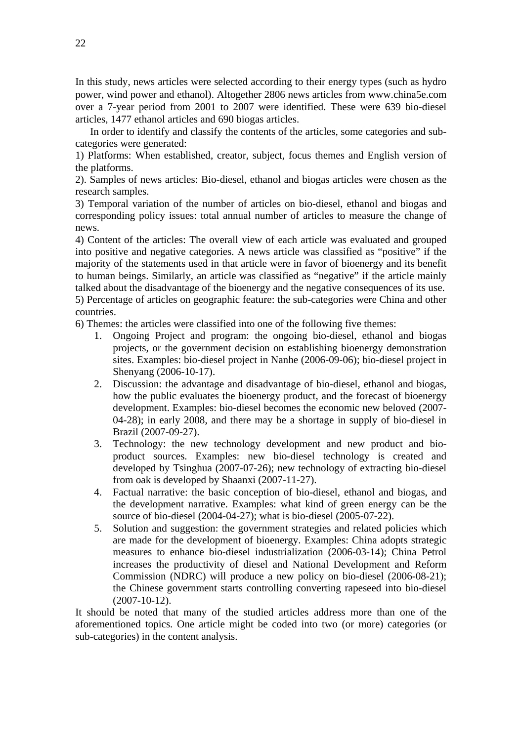In this study, news articles were selected according to their energy types (such as hydro power, wind power and ethanol). Altogether 2806 news articles from www.china5e.com over a 7-year period from 2001 to 2007 were identified. These were 639 bio-diesel articles, 1477 ethanol articles and 690 biogas articles.

In order to identify and classify the contents of the articles, some categories and subcategories were generated:

1) Platforms: When established, creator, subject, focus themes and English version of the platforms.

2). Samples of news articles: Bio-diesel, ethanol and biogas articles were chosen as the research samples.

3) Temporal variation of the number of articles on bio-diesel, ethanol and biogas and corresponding policy issues: total annual number of articles to measure the change of news.

4) Content of the articles: The overall view of each article was evaluated and grouped into positive and negative categories. A news article was classified as "positive" if the majority of the statements used in that article were in favor of bioenergy and its benefit to human beings. Similarly, an article was classified as "negative" if the article mainly talked about the disadvantage of the bioenergy and the negative consequences of its use.

5) Percentage of articles on geographic feature: the sub-categories were China and other countries.

6) Themes: the articles were classified into one of the following five themes:

- 1. Ongoing Project and program: the ongoing bio-diesel, ethanol and biogas projects, or the government decision on establishing bioenergy demonstration sites. Examples: bio-diesel project in Nanhe (2006-09-06); bio-diesel project in Shenyang (2006-10-17).
- 2. Discussion: the advantage and disadvantage of bio-diesel, ethanol and biogas, how the public evaluates the bioenergy product, and the forecast of bioenergy development. Examples: bio-diesel becomes the economic new beloved (2007- 04-28); in early 2008, and there may be a shortage in supply of bio-diesel in Brazil (2007-09-27).
- 3. Technology: the new technology development and new product and bioproduct sources. Examples: new bio-diesel technology is created and developed by Tsinghua (2007-07-26); new technology of extracting bio-diesel from oak is developed by Shaanxi (2007-11-27).
- 4. Factual narrative: the basic conception of bio-diesel, ethanol and biogas, and the development narrative. Examples: what kind of green energy can be the source of bio-diesel (2004-04-27); what is bio-diesel (2005-07-22).
- 5. Solution and suggestion: the government strategies and related policies which are made for the development of bioenergy. Examples: China adopts strategic measures to enhance bio-diesel industrialization (2006-03-14); China Petrol increases the productivity of diesel and National Development and Reform Commission (NDRC) will produce a new policy on bio-diesel (2006-08-21); the Chinese government starts controlling converting rapeseed into bio-diesel (2007-10-12).

It should be noted that many of the studied articles address more than one of the aforementioned topics. One article might be coded into two (or more) categories (or sub-categories) in the content analysis.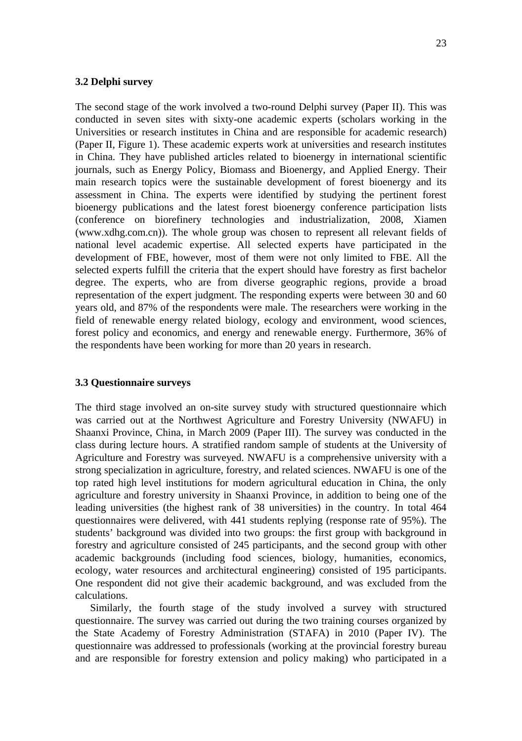#### **3.2 Delphi survey**

The second stage of the work involved a two-round Delphi survey (Paper II). This was conducted in seven sites with sixty-one academic experts (scholars working in the Universities or research institutes in China and are responsible for academic research) (Paper II, Figure 1). These academic experts work at universities and research institutes in China. They have published articles related to bioenergy in international scientific journals, such as Energy Policy, Biomass and Bioenergy, and Applied Energy. Their main research topics were the sustainable development of forest bioenergy and its assessment in China. The experts were identified by studying the pertinent forest bioenergy publications and the latest forest bioenergy conference participation lists (conference on biorefinery technologies and industrialization, 2008, Xiamen (www.xdhg.com.cn)). The whole group was chosen to represent all relevant fields of national level academic expertise. All selected experts have participated in the development of FBE, however, most of them were not only limited to FBE. All the selected experts fulfill the criteria that the expert should have forestry as first bachelor degree. The experts, who are from diverse geographic regions, provide a broad representation of the expert judgment. The responding experts were between 30 and 60 years old, and 87% of the respondents were male. The researchers were working in the field of renewable energy related biology, ecology and environment, wood sciences, forest policy and economics, and energy and renewable energy. Furthermore, 36% of the respondents have been working for more than 20 years in research.

#### **3.3 Questionnaire surveys**

The third stage involved an on-site survey study with structured questionnaire which was carried out at the Northwest Agriculture and Forestry University (NWAFU) in Shaanxi Province, China, in March 2009 (Paper III). The survey was conducted in the class during lecture hours. A stratified random sample of students at the University of Agriculture and Forestry was surveyed. NWAFU is a comprehensive university with a strong specialization in agriculture, forestry, and related sciences. NWAFU is one of the top rated high level institutions for modern agricultural education in China, the only agriculture and forestry university in Shaanxi Province, in addition to being one of the leading universities (the highest rank of 38 universities) in the country. In total 464 questionnaires were delivered, with 441 students replying (response rate of 95%). The students' background was divided into two groups: the first group with background in forestry and agriculture consisted of 245 participants, and the second group with other academic backgrounds (including food sciences, biology, humanities, economics, ecology, water resources and architectural engineering) consisted of 195 participants. One respondent did not give their academic background, and was excluded from the calculations.

 Similarly, the fourth stage of the study involved a survey with structured questionnaire. The survey was carried out during the two training courses organized by the State Academy of Forestry Administration (STAFA) in 2010 (Paper IV). The questionnaire was addressed to professionals (working at the provincial forestry bureau and are responsible for forestry extension and policy making) who participated in a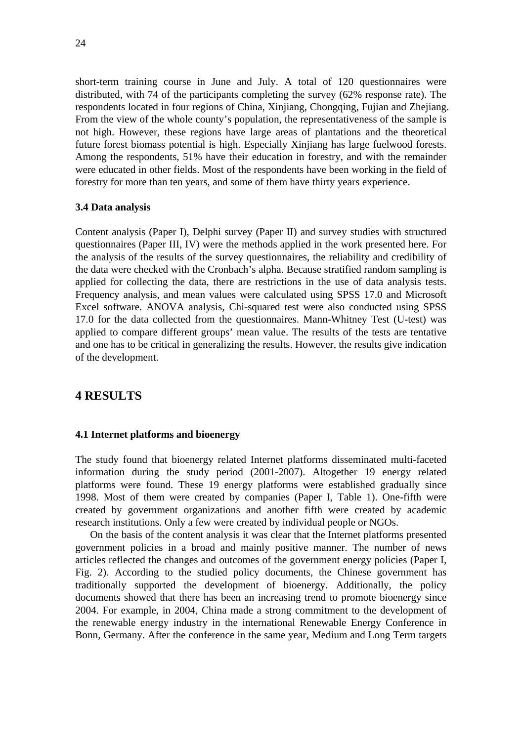short-term training course in June and July. A total of 120 questionnaires were distributed, with 74 of the participants completing the survey (62% response rate). The respondents located in four regions of China, Xinjiang, Chongqing, Fujian and Zhejiang. From the view of the whole county's population, the representativeness of the sample is not high. However, these regions have large areas of plantations and the theoretical future forest biomass potential is high. Especially Xinjiang has large fuelwood forests. Among the respondents, 51% have their education in forestry, and with the remainder were educated in other fields. Most of the respondents have been working in the field of forestry for more than ten years, and some of them have thirty years experience.

#### **3.4 Data analysis**

Content analysis (Paper I), Delphi survey (Paper II) and survey studies with structured questionnaires (Paper III, IV) were the methods applied in the work presented here. For the analysis of the results of the survey questionnaires, the reliability and credibility of the data were checked with the Cronbach's alpha. Because stratified random sampling is applied for collecting the data, there are restrictions in the use of data analysis tests. Frequency analysis, and mean values were calculated using SPSS 17.0 and Microsoft Excel software. ANOVA analysis, Chi-squared test were also conducted using SPSS 17.0 for the data collected from the questionnaires. Mann-Whitney Test (U-test) was applied to compare different groups' mean value. The results of the tests are tentative and one has to be critical in generalizing the results. However, the results give indication of the development.

## **4 RESULTS**

#### **4.1 Internet platforms and bioenergy**

The study found that bioenergy related Internet platforms disseminated multi-faceted information during the study period (2001-2007). Altogether 19 energy related platforms were found. These 19 energy platforms were established gradually since 1998. Most of them were created by companies (Paper I, Table 1). One-fifth were created by government organizations and another fifth were created by academic research institutions. Only a few were created by individual people or NGOs.

 On the basis of the content analysis it was clear that the Internet platforms presented government policies in a broad and mainly positive manner. The number of news articles reflected the changes and outcomes of the government energy policies (Paper I, Fig. 2). According to the studied policy documents, the Chinese government has traditionally supported the development of bioenergy. Additionally, the policy documents showed that there has been an increasing trend to promote bioenergy since 2004. For example, in 2004, China made a strong commitment to the development of the renewable energy industry in the international Renewable Energy Conference in Bonn, Germany. After the conference in the same year, Medium and Long Term targets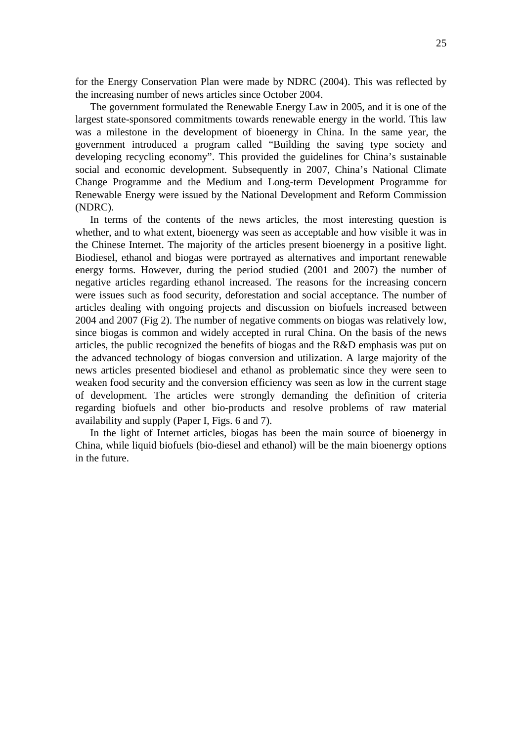for the Energy Conservation Plan were made by NDRC (2004). This was reflected by the increasing number of news articles since October 2004.

 The government formulated the Renewable Energy Law in 2005, and it is one of the largest state-sponsored commitments towards renewable energy in the world. This law was a milestone in the development of bioenergy in China. In the same year, the government introduced a program called "Building the saving type society and developing recycling economy". This provided the guidelines for China's sustainable social and economic development. Subsequently in 2007, China's National Climate Change Programme and the Medium and Long-term Development Programme for Renewable Energy were issued by the National Development and Reform Commission (NDRC).

 In terms of the contents of the news articles, the most interesting question is whether, and to what extent, bioenergy was seen as acceptable and how visible it was in the Chinese Internet. The majority of the articles present bioenergy in a positive light. Biodiesel, ethanol and biogas were portrayed as alternatives and important renewable energy forms. However, during the period studied (2001 and 2007) the number of negative articles regarding ethanol increased. The reasons for the increasing concern were issues such as food security, deforestation and social acceptance. The number of articles dealing with ongoing projects and discussion on biofuels increased between 2004 and 2007 (Fig 2). The number of negative comments on biogas was relatively low, since biogas is common and widely accepted in rural China. On the basis of the news articles, the public recognized the benefits of biogas and the R&D emphasis was put on the advanced technology of biogas conversion and utilization. A large majority of the news articles presented biodiesel and ethanol as problematic since they were seen to weaken food security and the conversion efficiency was seen as low in the current stage of development. The articles were strongly demanding the definition of criteria regarding biofuels and other bio-products and resolve problems of raw material availability and supply (Paper I, Figs. 6 and 7).

 In the light of Internet articles, biogas has been the main source of bioenergy in China, while liquid biofuels (bio-diesel and ethanol) will be the main bioenergy options in the future.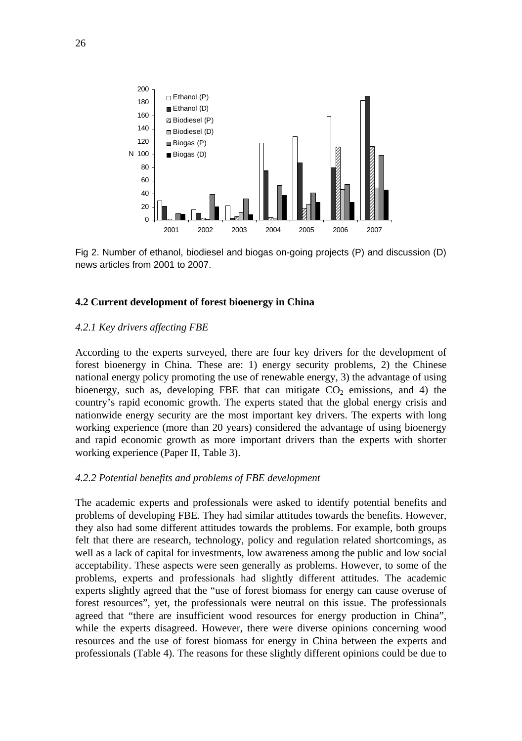

Fig 2. Number of ethanol, biodiesel and biogas on-going projects (P) and discussion (D) news articles from 2001 to 2007.

#### **4.2 Current development of forest bioenergy in China**

#### *4.2.1 Key drivers affecting FBE*

According to the experts surveyed, there are four key drivers for the development of forest bioenergy in China. These are: 1) energy security problems, 2) the Chinese national energy policy promoting the use of renewable energy, 3) the advantage of using bioenergy, such as, developing FBE that can mitigate  $CO<sub>2</sub>$  emissions, and 4) the country's rapid economic growth. The experts stated that the global energy crisis and nationwide energy security are the most important key drivers. The experts with long working experience (more than 20 years) considered the advantage of using bioenergy and rapid economic growth as more important drivers than the experts with shorter working experience (Paper II, Table 3).

#### *4.2.2 Potential benefits and problems of FBE development*

The academic experts and professionals were asked to identify potential benefits and problems of developing FBE. They had similar attitudes towards the benefits. However, they also had some different attitudes towards the problems. For example, both groups felt that there are research, technology, policy and regulation related shortcomings, as well as a lack of capital for investments, low awareness among the public and low social acceptability. These aspects were seen generally as problems. However, to some of the problems, experts and professionals had slightly different attitudes. The academic experts slightly agreed that the "use of forest biomass for energy can cause overuse of forest resources", yet, the professionals were neutral on this issue. The professionals agreed that "there are insufficient wood resources for energy production in China", while the experts disagreed. However, there were diverse opinions concerning wood resources and the use of forest biomass for energy in China between the experts and professionals (Table 4). The reasons for these slightly different opinions could be due to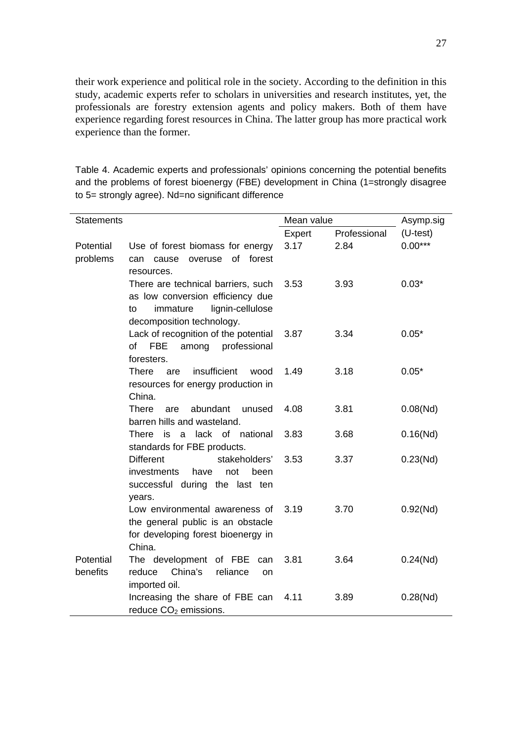their work experience and political role in the society. According to the definition in this study, academic experts refer to scholars in universities and research institutes, yet, the professionals are forestry extension agents and policy makers. Both of them have experience regarding forest resources in China. The latter group has more practical work experience than the former.

Table 4. Academic experts and professionals' opinions concerning the potential benefits and the problems of forest bioenergy (FBE) development in China (1=strongly disagree to 5= strongly agree). Nd=no significant difference

| Statements            |                                                                                                                                           | Mean value |              | Asymp.sig  |
|-----------------------|-------------------------------------------------------------------------------------------------------------------------------------------|------------|--------------|------------|
|                       |                                                                                                                                           | Expert     | Professional | $(U-test)$ |
| Potential<br>problems | Use of forest biomass for energy<br>of forest<br>cause<br>overuse<br>can<br>resources.                                                    | 3.17       | 2.84         | $0.00***$  |
|                       | There are technical barriers, such<br>as low conversion efficiency due<br>lignin-cellulose<br>immature<br>to<br>decomposition technology. | 3.53       | 3.93         | $0.03*$    |
|                       | Lack of recognition of the potential<br>of FBE<br>among<br>professional<br>foresters.                                                     | 3.87       | 3.34         | $0.05*$    |
|                       | insufficient<br>There<br>are<br>wood<br>resources for energy production in<br>China.                                                      | 1.49       | 3.18         | $0.05*$    |
|                       | abundant<br>There<br>unused<br>are<br>barren hills and wasteland.                                                                         | 4.08       | 3.81         | 0.08(Nd)   |
|                       | lack of national<br>There<br>is<br>a<br>standards for FBE products.                                                                       | 3.83       | 3.68         | 0.16(Nd)   |
|                       | <b>Different</b><br>stakeholders'<br>investments<br>have<br>not<br>been<br>successful during the last ten<br>years.                       | 3.53       | 3.37         | 0.23(Nd)   |
|                       | Low environmental awareness of<br>the general public is an obstacle<br>for developing forest bioenergy in<br>China.                       | 3.19       | 3.70         | 0.92(Nd)   |
| Potential<br>benefits | The development of FBE<br>can<br>China's<br>reliance<br>reduce<br>on<br>imported oil.                                                     | 3.81       | 3.64         | 0.24(Nd)   |
|                       | Increasing the share of FBE can<br>reduce CO <sub>2</sub> emissions.                                                                      | 4.11       | 3.89         | 0.28(Nd)   |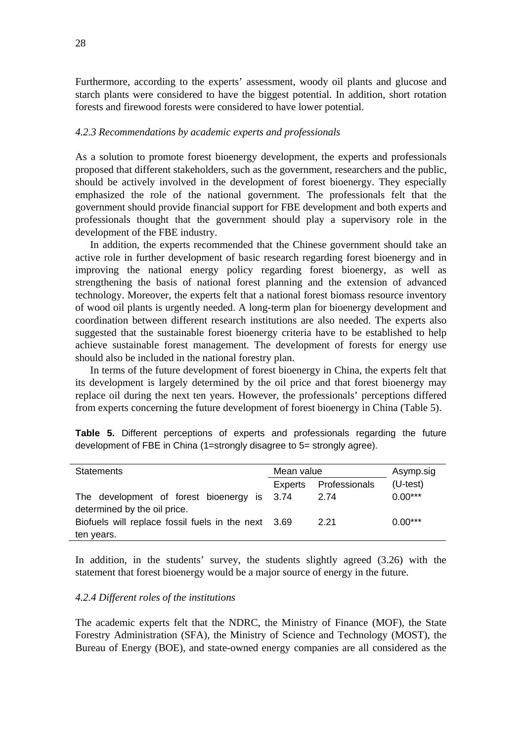Furthermore, according to the experts' assessment, woody oil plants and glucose and starch plants were considered to have the biggest potential. In addition, short rotation forests and firewood forests were considered to have lower potential.

#### *4.2.3 Recommendations by academic experts and professionals*

As a solution to promote forest bioenergy development, the experts and professionals proposed that different stakeholders, such as the government, researchers and the public, should be actively involved in the development of forest bioenergy. They especially emphasized the role of the national government. The professionals felt that the government should provide financial support for FBE development and both experts and professionals thought that the government should play a supervisory role in the development of the FBE industry.

 In addition, the experts recommended that the Chinese government should take an active role in further development of basic research regarding forest bioenergy and in improving the national energy policy regarding forest bioenergy, as well as strengthening the basis of national forest planning and the extension of advanced technology. Moreover, the experts felt that a national forest biomass resource inventory of wood oil plants is urgently needed. A long-term plan for bioenergy development and coordination between different research institutions are also needed. The experts also suggested that the sustainable forest bioenergy criteria have to be established to help achieve sustainable forest management. The development of forests for energy use should also be included in the national forestry plan.

 In terms of the future development of forest bioenergy in China, the experts felt that its development is largely determined by the oil price and that forest bioenergy may replace oil during the next ten years. However, the professionals' perceptions differed from experts concerning the future development of forest bioenergy in China (Table 5).

**Table 5.** Different perceptions of experts and professionals regarding the future development of FBE in China (1=strongly disagree to 5= strongly agree).

| <b>Statements</b>                                   | Mean value |               | Asymp.sig  |
|-----------------------------------------------------|------------|---------------|------------|
|                                                     | Experts    | Professionals | $(U-test)$ |
| The development of forest bioenergy is 3.74         |            | 2.74          | $0.00***$  |
| determined by the oil price.                        |            |               |            |
| Biofuels will replace fossil fuels in the next 3.69 |            | 2.21          | $0.00***$  |
| ten years.                                          |            |               |            |

In addition, in the students' survey, the students slightly agreed (3.26) with the statement that forest bioenergy would be a major source of energy in the future.

#### *4.2.4 Different roles of the institutions*

The academic experts felt that the NDRC, the Ministry of Finance (MOF), the State Forestry Administration (SFA), the Ministry of Science and Technology (MOST), the Bureau of Energy (BOE), and state-owned energy companies are all considered as the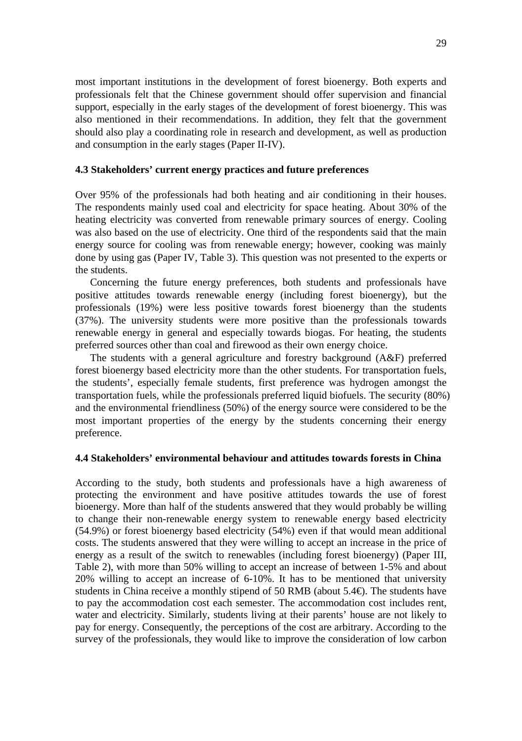most important institutions in the development of forest bioenergy. Both experts and professionals felt that the Chinese government should offer supervision and financial support, especially in the early stages of the development of forest bioenergy. This was also mentioned in their recommendations. In addition, they felt that the government should also play a coordinating role in research and development, as well as production and consumption in the early stages (Paper II-IV).

#### **4.3 Stakeholders' current energy practices and future preferences**

Over 95% of the professionals had both heating and air conditioning in their houses. The respondents mainly used coal and electricity for space heating. About 30% of the heating electricity was converted from renewable primary sources of energy. Cooling was also based on the use of electricity. One third of the respondents said that the main energy source for cooling was from renewable energy; however, cooking was mainly done by using gas (Paper IV, Table 3). This question was not presented to the experts or the students.

 Concerning the future energy preferences, both students and professionals have positive attitudes towards renewable energy (including forest bioenergy), but the professionals (19%) were less positive towards forest bioenergy than the students (37%). The university students were more positive than the professionals towards renewable energy in general and especially towards biogas. For heating, the students preferred sources other than coal and firewood as their own energy choice.

 The students with a general agriculture and forestry background (A&F) preferred forest bioenergy based electricity more than the other students. For transportation fuels, the students', especially female students, first preference was hydrogen amongst the transportation fuels, while the professionals preferred liquid biofuels. The security (80%) and the environmental friendliness (50%) of the energy source were considered to be the most important properties of the energy by the students concerning their energy preference.

#### **4.4 Stakeholders' environmental behaviour and attitudes towards forests in China**

According to the study, both students and professionals have a high awareness of protecting the environment and have positive attitudes towards the use of forest bioenergy. More than half of the students answered that they would probably be willing to change their non-renewable energy system to renewable energy based electricity (54.9%) or forest bioenergy based electricity (54%) even if that would mean additional costs. The students answered that they were willing to accept an increase in the price of energy as a result of the switch to renewables (including forest bioenergy) (Paper III, Table 2), with more than 50% willing to accept an increase of between 1-5% and about 20% willing to accept an increase of 6-10%. It has to be mentioned that university students in China receive a monthly stipend of 50 RMB (about 5.4€). The students have to pay the accommodation cost each semester. The accommodation cost includes rent, water and electricity. Similarly, students living at their parents' house are not likely to pay for energy. Consequently, the perceptions of the cost are arbitrary. According to the survey of the professionals, they would like to improve the consideration of low carbon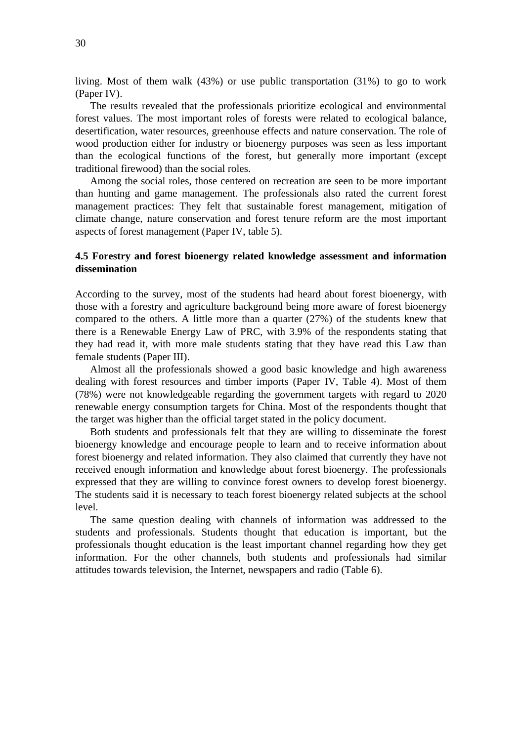living. Most of them walk (43%) or use public transportation (31%) to go to work (Paper IV).

 The results revealed that the professionals prioritize ecological and environmental forest values. The most important roles of forests were related to ecological balance, desertification, water resources, greenhouse effects and nature conservation. The role of wood production either for industry or bioenergy purposes was seen as less important than the ecological functions of the forest, but generally more important (except traditional firewood) than the social roles.

 Among the social roles, those centered on recreation are seen to be more important than hunting and game management. The professionals also rated the current forest management practices: They felt that sustainable forest management, mitigation of climate change, nature conservation and forest tenure reform are the most important aspects of forest management (Paper IV, table 5).

#### **4.5 Forestry and forest bioenergy related knowledge assessment and information dissemination**

According to the survey, most of the students had heard about forest bioenergy, with those with a forestry and agriculture background being more aware of forest bioenergy compared to the others. A little more than a quarter (27%) of the students knew that there is a Renewable Energy Law of PRC, with 3.9% of the respondents stating that they had read it, with more male students stating that they have read this Law than female students (Paper III).

 Almost all the professionals showed a good basic knowledge and high awareness dealing with forest resources and timber imports (Paper IV, Table 4). Most of them (78%) were not knowledgeable regarding the government targets with regard to 2020 renewable energy consumption targets for China. Most of the respondents thought that the target was higher than the official target stated in the policy document.

 Both students and professionals felt that they are willing to disseminate the forest bioenergy knowledge and encourage people to learn and to receive information about forest bioenergy and related information. They also claimed that currently they have not received enough information and knowledge about forest bioenergy. The professionals expressed that they are willing to convince forest owners to develop forest bioenergy. The students said it is necessary to teach forest bioenergy related subjects at the school level.

 The same question dealing with channels of information was addressed to the students and professionals. Students thought that education is important, but the professionals thought education is the least important channel regarding how they get information. For the other channels, both students and professionals had similar attitudes towards television, the Internet, newspapers and radio (Table 6).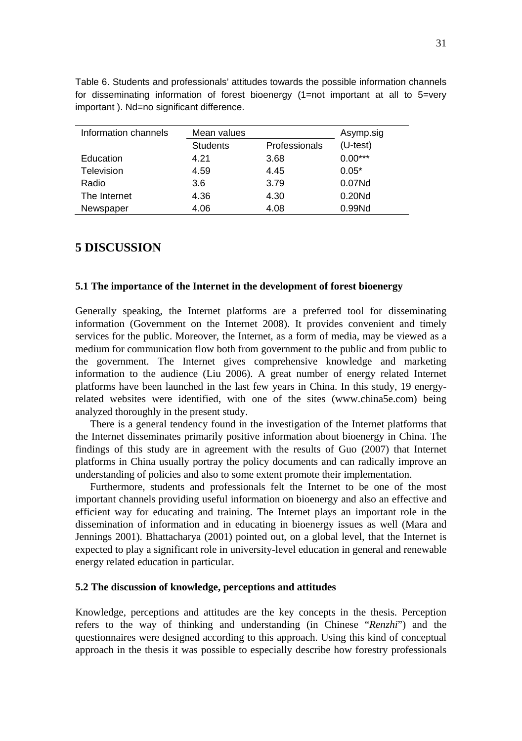| Information channels | Mean values     |               | Asymp.sig  |
|----------------------|-----------------|---------------|------------|
|                      | <b>Students</b> | Professionals | $(U-test)$ |
| Education            | 4.21            | 3.68          | $0.00***$  |
| Television           | 4.59            | 4.45          | $0.05*$    |
| Radio                | 3.6             | 3.79          | 0.07Nd     |
| The Internet         | 4.36            | 4.30          | 0.20Nd     |
| Newspaper            | 4.06            | 4.08          | 0.99Nd     |

Table 6. Students and professionals' attitudes towards the possible information channels for disseminating information of forest bioenergy (1=not important at all to 5=very important ). Nd=no significant difference.

## **5 DISCUSSION**

#### **5.1 The importance of the Internet in the development of forest bioenergy**

Generally speaking, the Internet platforms are a preferred tool for disseminating information (Government on the Internet 2008). It provides convenient and timely services for the public. Moreover, the Internet, as a form of media, may be viewed as a medium for communication flow both from government to the public and from public to the government. The Internet gives comprehensive knowledge and marketing information to the audience (Liu 2006). A great number of energy related Internet platforms have been launched in the last few years in China. In this study, 19 energyrelated websites were identified, with one of the sites (www.china5e.com) being analyzed thoroughly in the present study.

 There is a general tendency found in the investigation of the Internet platforms that the Internet disseminates primarily positive information about bioenergy in China. The findings of this study are in agreement with the results of Guo (2007) that Internet platforms in China usually portray the policy documents and can radically improve an understanding of policies and also to some extent promote their implementation.

 Furthermore, students and professionals felt the Internet to be one of the most important channels providing useful information on bioenergy and also an effective and efficient way for educating and training. The Internet plays an important role in the dissemination of information and in educating in bioenergy issues as well (Mara and Jennings 2001). Bhattacharya (2001) pointed out, on a global level, that the Internet is expected to play a significant role in university-level education in general and renewable energy related education in particular.

#### **5.2 The discussion of knowledge, perceptions and attitudes**

Knowledge, perceptions and attitudes are the key concepts in the thesis. Perception refers to the way of thinking and understanding (in Chinese "*Renzhi*") and the questionnaires were designed according to this approach. Using this kind of conceptual approach in the thesis it was possible to especially describe how forestry professionals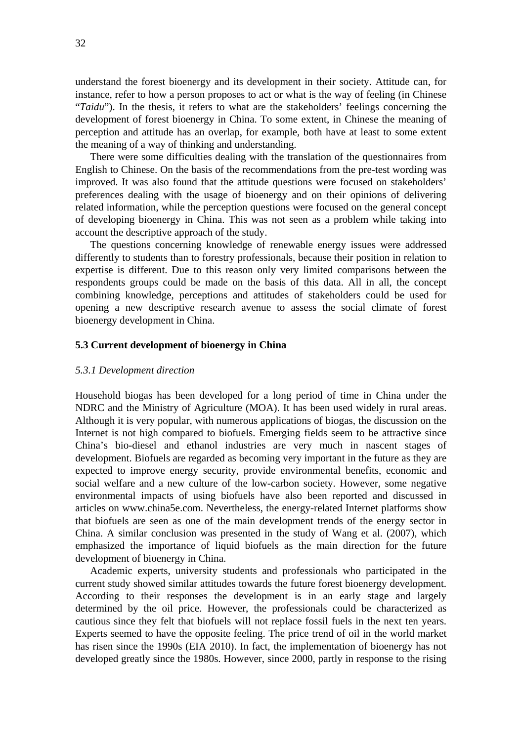understand the forest bioenergy and its development in their society. Attitude can, for instance, refer to how a person proposes to act or what is the way of feeling (in Chinese "*Taidu*"). In the thesis, it refers to what are the stakeholders' feelings concerning the development of forest bioenergy in China. To some extent, in Chinese the meaning of perception and attitude has an overlap, for example, both have at least to some extent the meaning of a way of thinking and understanding.

There were some difficulties dealing with the translation of the questionnaires from English to Chinese. On the basis of the recommendations from the pre-test wording was improved. It was also found that the attitude questions were focused on stakeholders' preferences dealing with the usage of bioenergy and on their opinions of delivering related information, while the perception questions were focused on the general concept of developing bioenergy in China. This was not seen as a problem while taking into account the descriptive approach of the study.

The questions concerning knowledge of renewable energy issues were addressed differently to students than to forestry professionals, because their position in relation to expertise is different. Due to this reason only very limited comparisons between the respondents groups could be made on the basis of this data. All in all, the concept combining knowledge, perceptions and attitudes of stakeholders could be used for opening a new descriptive research avenue to assess the social climate of forest bioenergy development in China.

#### **5.3 Current development of bioenergy in China**

#### *5.3.1 Development direction*

Household biogas has been developed for a long period of time in China under the NDRC and the Ministry of Agriculture (MOA). It has been used widely in rural areas. Although it is very popular, with numerous applications of biogas, the discussion on the Internet is not high compared to biofuels. Emerging fields seem to be attractive since China's bio-diesel and ethanol industries are very much in nascent stages of development. Biofuels are regarded as becoming very important in the future as they are expected to improve energy security, provide environmental benefits, economic and social welfare and a new culture of the low-carbon society. However, some negative environmental impacts of using biofuels have also been reported and discussed in articles on www.china5e.com. Nevertheless, the energy-related Internet platforms show that biofuels are seen as one of the main development trends of the energy sector in China. A similar conclusion was presented in the study of Wang et al. (2007), which emphasized the importance of liquid biofuels as the main direction for the future development of bioenergy in China.

 Academic experts, university students and professionals who participated in the current study showed similar attitudes towards the future forest bioenergy development. According to their responses the development is in an early stage and largely determined by the oil price. However, the professionals could be characterized as cautious since they felt that biofuels will not replace fossil fuels in the next ten years. Experts seemed to have the opposite feeling. The price trend of oil in the world market has risen since the 1990s (EIA 2010). In fact, the implementation of bioenergy has not developed greatly since the 1980s. However, since 2000, partly in response to the rising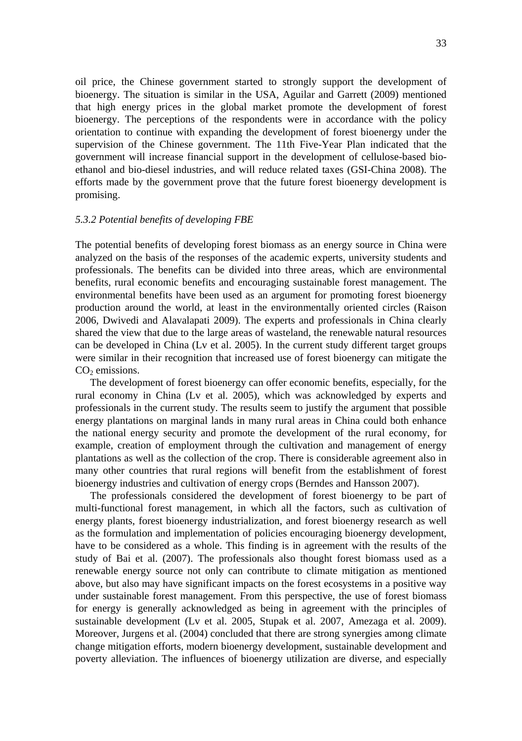oil price, the Chinese government started to strongly support the development of bioenergy. The situation is similar in the USA, Aguilar and Garrett (2009) mentioned that high energy prices in the global market promote the development of forest bioenergy. The perceptions of the respondents were in accordance with the policy orientation to continue with expanding the development of forest bioenergy under the supervision of the Chinese government. The 11th Five-Year Plan indicated that the government will increase financial support in the development of cellulose-based bioethanol and bio-diesel industries, and will reduce related taxes (GSI-China 2008). The efforts made by the government prove that the future forest bioenergy development is promising.

#### *5.3.2 Potential benefits of developing FBE*

The potential benefits of developing forest biomass as an energy source in China were analyzed on the basis of the responses of the academic experts, university students and professionals. The benefits can be divided into three areas, which are environmental benefits, rural economic benefits and encouraging sustainable forest management. The environmental benefits have been used as an argument for promoting forest bioenergy production around the world, at least in the environmentally oriented circles (Raison 2006, Dwivedi and Alavalapati 2009). The experts and professionals in China clearly shared the view that due to the large areas of wasteland, the renewable natural resources can be developed in China (Lv et al. 2005). In the current study different target groups were similar in their recognition that increased use of forest bioenergy can mitigate the  $CO<sub>2</sub>$  emissions.

 The development of forest bioenergy can offer economic benefits, especially, for the rural economy in China (Lv et al. 2005), which was acknowledged by experts and professionals in the current study. The results seem to justify the argument that possible energy plantations on marginal lands in many rural areas in China could both enhance the national energy security and promote the development of the rural economy, for example, creation of employment through the cultivation and management of energy plantations as well as the collection of the crop. There is considerable agreement also in many other countries that rural regions will benefit from the establishment of forest bioenergy industries and cultivation of energy crops (Berndes and Hansson 2007).

 The professionals considered the development of forest bioenergy to be part of multi-functional forest management, in which all the factors, such as cultivation of energy plants, forest bioenergy industrialization, and forest bioenergy research as well as the formulation and implementation of policies encouraging bioenergy development, have to be considered as a whole. This finding is in agreement with the results of the study of Bai et al. (2007). The professionals also thought forest biomass used as a renewable energy source not only can contribute to climate mitigation as mentioned above, but also may have significant impacts on the forest ecosystems in a positive way under sustainable forest management. From this perspective, the use of forest biomass for energy is generally acknowledged as being in agreement with the principles of sustainable development (Lv et al. 2005, Stupak et al. 2007, Amezaga et al. 2009). Moreover, Jurgens et al. (2004) concluded that there are strong synergies among climate change mitigation efforts, modern bioenergy development, sustainable development and poverty alleviation. The influences of bioenergy utilization are diverse, and especially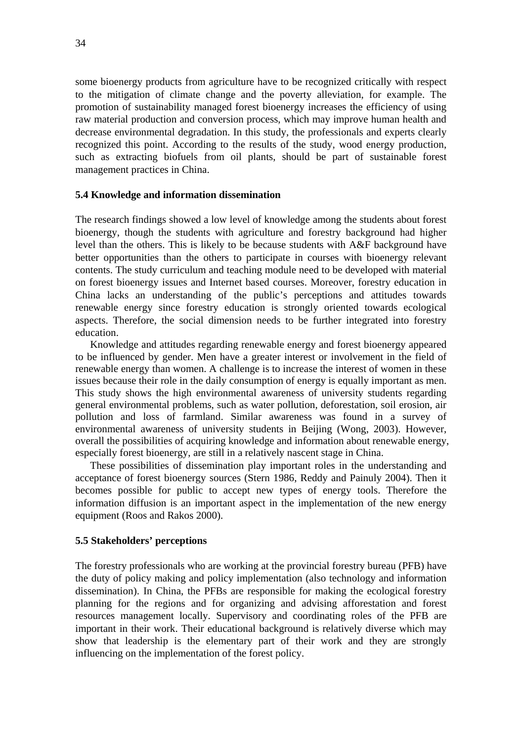some bioenergy products from agriculture have to be recognized critically with respect to the mitigation of climate change and the poverty alleviation, for example. The promotion of sustainability managed forest bioenergy increases the efficiency of using raw material production and conversion process, which may improve human health and decrease environmental degradation. In this study, the professionals and experts clearly recognized this point. According to the results of the study, wood energy production, such as extracting biofuels from oil plants, should be part of sustainable forest management practices in China.

#### **5.4 Knowledge and information dissemination**

The research findings showed a low level of knowledge among the students about forest bioenergy, though the students with agriculture and forestry background had higher level than the others. This is likely to be because students with A&F background have better opportunities than the others to participate in courses with bioenergy relevant contents. The study curriculum and teaching module need to be developed with material on forest bioenergy issues and Internet based courses. Moreover, forestry education in China lacks an understanding of the public's perceptions and attitudes towards renewable energy since forestry education is strongly oriented towards ecological aspects. Therefore, the social dimension needs to be further integrated into forestry education.

Knowledge and attitudes regarding renewable energy and forest bioenergy appeared to be influenced by gender. Men have a greater interest or involvement in the field of renewable energy than women. A challenge is to increase the interest of women in these issues because their role in the daily consumption of energy is equally important as men. This study shows the high environmental awareness of university students regarding general environmental problems, such as water pollution, deforestation, soil erosion, air pollution and loss of farmland. Similar awareness was found in a survey of environmental awareness of university students in Beijing (Wong, 2003). However, overall the possibilities of acquiring knowledge and information about renewable energy, especially forest bioenergy, are still in a relatively nascent stage in China.

These possibilities of dissemination play important roles in the understanding and acceptance of forest bioenergy sources (Stern 1986, Reddy and Painuly 2004). Then it becomes possible for public to accept new types of energy tools. Therefore the information diffusion is an important aspect in the implementation of the new energy equipment (Roos and Rakos 2000).

#### **5.5 Stakeholders' perceptions**

The forestry professionals who are working at the provincial forestry bureau (PFB) have the duty of policy making and policy implementation (also technology and information dissemination). In China, the PFBs are responsible for making the ecological forestry planning for the regions and for organizing and advising afforestation and forest resources management locally. Supervisory and coordinating roles of the PFB are important in their work. Their educational background is relatively diverse which may show that leadership is the elementary part of their work and they are strongly influencing on the implementation of the forest policy.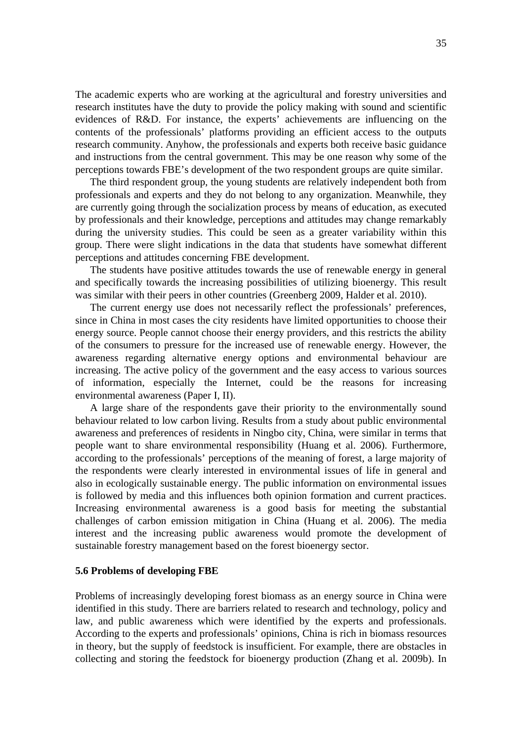The academic experts who are working at the agricultural and forestry universities and research institutes have the duty to provide the policy making with sound and scientific evidences of R&D. For instance, the experts' achievements are influencing on the contents of the professionals' platforms providing an efficient access to the outputs research community. Anyhow, the professionals and experts both receive basic guidance and instructions from the central government. This may be one reason why some of the perceptions towards FBE's development of the two respondent groups are quite similar.

 The third respondent group, the young students are relatively independent both from professionals and experts and they do not belong to any organization. Meanwhile, they are currently going through the socialization process by means of education, as executed by professionals and their knowledge, perceptions and attitudes may change remarkably during the university studies. This could be seen as a greater variability within this group. There were slight indications in the data that students have somewhat different perceptions and attitudes concerning FBE development.

The students have positive attitudes towards the use of renewable energy in general and specifically towards the increasing possibilities of utilizing bioenergy. This result was similar with their peers in other countries (Greenberg 2009, Halder et al. 2010).

 The current energy use does not necessarily reflect the professionals' preferences, since in China in most cases the city residents have limited opportunities to choose their energy source. People cannot choose their energy providers, and this restricts the ability of the consumers to pressure for the increased use of renewable energy. However, the awareness regarding alternative energy options and environmental behaviour are increasing. The active policy of the government and the easy access to various sources of information, especially the Internet, could be the reasons for increasing environmental awareness (Paper I, II).

 A large share of the respondents gave their priority to the environmentally sound behaviour related to low carbon living. Results from a study about public environmental awareness and preferences of residents in Ningbo city, China, were similar in terms that people want to share environmental responsibility (Huang et al. 2006). Furthermore, according to the professionals' perceptions of the meaning of forest, a large majority of the respondents were clearly interested in environmental issues of life in general and also in ecologically sustainable energy. The public information on environmental issues is followed by media and this influences both opinion formation and current practices. Increasing environmental awareness is a good basis for meeting the substantial challenges of carbon emission mitigation in China (Huang et al. 2006). The media interest and the increasing public awareness would promote the development of sustainable forestry management based on the forest bioenergy sector.

#### **5.6 Problems of developing FBE**

Problems of increasingly developing forest biomass as an energy source in China were identified in this study. There are barriers related to research and technology, policy and law, and public awareness which were identified by the experts and professionals. According to the experts and professionals' opinions, China is rich in biomass resources in theory, but the supply of feedstock is insufficient. For example, there are obstacles in collecting and storing the feedstock for bioenergy production (Zhang et al. 2009b). In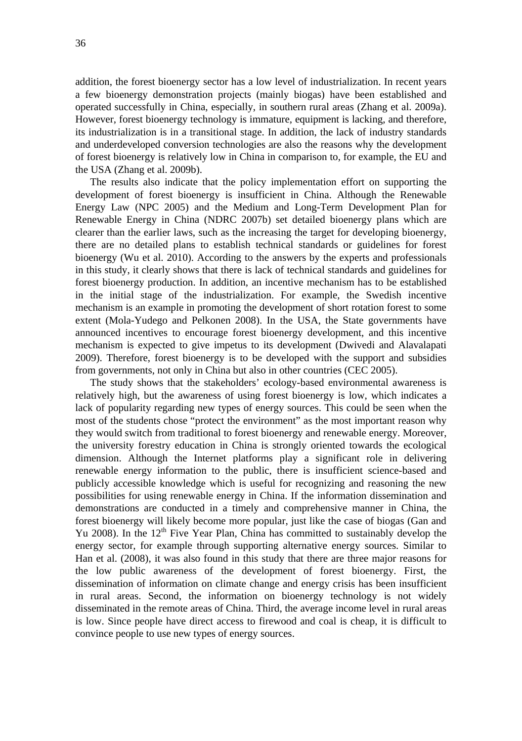addition, the forest bioenergy sector has a low level of industrialization. In recent years a few bioenergy demonstration projects (mainly biogas) have been established and operated successfully in China, especially, in southern rural areas (Zhang et al. 2009a). However, forest bioenergy technology is immature, equipment is lacking, and therefore, its industrialization is in a transitional stage. In addition, the lack of industry standards and underdeveloped conversion technologies are also the reasons why the development of forest bioenergy is relatively low in China in comparison to, for example, the EU and the USA (Zhang et al. 2009b).

 The results also indicate that the policy implementation effort on supporting the development of forest bioenergy is insufficient in China. Although the Renewable Energy Law (NPC 2005) and the Medium and Long-Term Development Plan for Renewable Energy in China (NDRC 2007b) set detailed bioenergy plans which are clearer than the earlier laws, such as the increasing the target for developing bioenergy, there are no detailed plans to establish technical standards or guidelines for forest bioenergy (Wu et al. 2010). According to the answers by the experts and professionals in this study, it clearly shows that there is lack of technical standards and guidelines for forest bioenergy production. In addition, an incentive mechanism has to be established in the initial stage of the industrialization. For example, the Swedish incentive mechanism is an example in promoting the development of short rotation forest to some extent (Mola-Yudego and Pelkonen 2008). In the USA, the State governments have announced incentives to encourage forest bioenergy development, and this incentive mechanism is expected to give impetus to its development (Dwivedi and Alavalapati 2009). Therefore, forest bioenergy is to be developed with the support and subsidies from governments, not only in China but also in other countries (CEC 2005).

 The study shows that the stakeholders' ecology-based environmental awareness is relatively high, but the awareness of using forest bioenergy is low, which indicates a lack of popularity regarding new types of energy sources. This could be seen when the most of the students chose "protect the environment" as the most important reason why they would switch from traditional to forest bioenergy and renewable energy. Moreover, the university forestry education in China is strongly oriented towards the ecological dimension. Although the Internet platforms play a significant role in delivering renewable energy information to the public, there is insufficient science-based and publicly accessible knowledge which is useful for recognizing and reasoning the new possibilities for using renewable energy in China. If the information dissemination and demonstrations are conducted in a timely and comprehensive manner in China, the forest bioenergy will likely become more popular, just like the case of biogas (Gan and Yu 2008). In the  $12<sup>th</sup>$  Five Year Plan, China has committed to sustainably develop the energy sector, for example through supporting alternative energy sources. Similar to Han et al. (2008), it was also found in this study that there are three major reasons for the low public awareness of the development of forest bioenergy. First, the dissemination of information on climate change and energy crisis has been insufficient in rural areas. Second, the information on bioenergy technology is not widely disseminated in the remote areas of China. Third, the average income level in rural areas is low. Since people have direct access to firewood and coal is cheap, it is difficult to convince people to use new types of energy sources.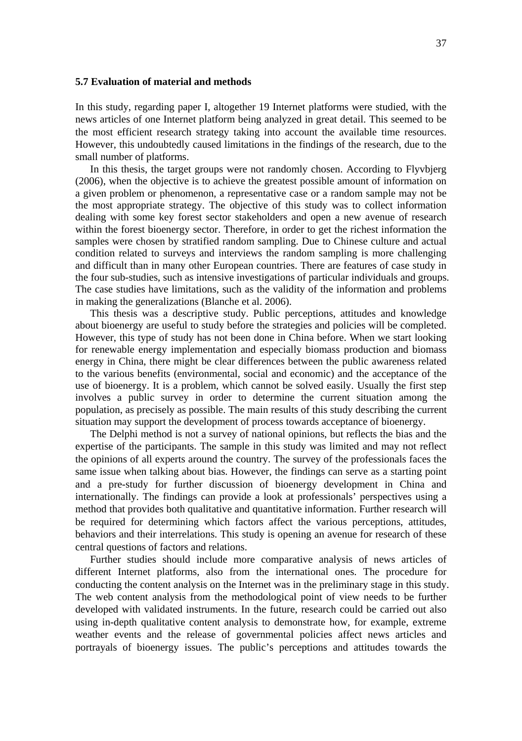#### **5.7 Evaluation of material and methods**

In this study, regarding paper I, altogether 19 Internet platforms were studied, with the news articles of one Internet platform being analyzed in great detail. This seemed to be the most efficient research strategy taking into account the available time resources. However, this undoubtedly caused limitations in the findings of the research, due to the small number of platforms.

In this thesis, the target groups were not randomly chosen. According to Flyvbjerg (2006), when the objective is to achieve the greatest possible amount of information on a given problem or phenomenon, a representative case or a random sample may not be the most appropriate strategy. The objective of this study was to collect information dealing with some key forest sector stakeholders and open a new avenue of research within the forest bioenergy sector. Therefore, in order to get the richest information the samples were chosen by stratified random sampling. Due to Chinese culture and actual condition related to surveys and interviews the random sampling is more challenging and difficult than in many other European countries. There are features of case study in the four sub-studies, such as intensive investigations of particular individuals and groups. The case studies have limitations, such as the validity of the information and problems in making the generalizations (Blanche et al. 2006).

This thesis was a descriptive study. Public perceptions, attitudes and knowledge about bioenergy are useful to study before the strategies and policies will be completed. However, this type of study has not been done in China before. When we start looking for renewable energy implementation and especially biomass production and biomass energy in China, there might be clear differences between the public awareness related to the various benefits (environmental, social and economic) and the acceptance of the use of bioenergy. It is a problem, which cannot be solved easily. Usually the first step involves a public survey in order to determine the current situation among the population, as precisely as possible. The main results of this study describing the current situation may support the development of process towards acceptance of bioenergy.

 The Delphi method is not a survey of national opinions, but reflects the bias and the expertise of the participants. The sample in this study was limited and may not reflect the opinions of all experts around the country. The survey of the professionals faces the same issue when talking about bias. However, the findings can serve as a starting point and a pre-study for further discussion of bioenergy development in China and internationally. The findings can provide a look at professionals' perspectives using a method that provides both qualitative and quantitative information. Further research will be required for determining which factors affect the various perceptions, attitudes, behaviors and their interrelations. This study is opening an avenue for research of these central questions of factors and relations.

 Further studies should include more comparative analysis of news articles of different Internet platforms, also from the international ones. The procedure for conducting the content analysis on the Internet was in the preliminary stage in this study. The web content analysis from the methodological point of view needs to be further developed with validated instruments. In the future, research could be carried out also using in-depth qualitative content analysis to demonstrate how, for example, extreme weather events and the release of governmental policies affect news articles and portrayals of bioenergy issues. The public's perceptions and attitudes towards the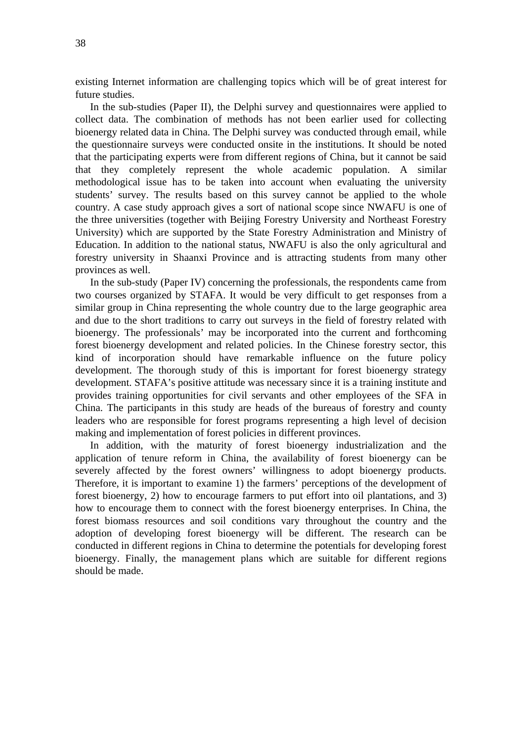existing Internet information are challenging topics which will be of great interest for future studies.

In the sub-studies (Paper II), the Delphi survey and questionnaires were applied to collect data. The combination of methods has not been earlier used for collecting bioenergy related data in China. The Delphi survey was conducted through email, while the questionnaire surveys were conducted onsite in the institutions. It should be noted that the participating experts were from different regions of China, but it cannot be said that they completely represent the whole academic population. A similar methodological issue has to be taken into account when evaluating the university students' survey. The results based on this survey cannot be applied to the whole country. A case study approach gives a sort of national scope since NWAFU is one of the three universities (together with Beijing Forestry University and Northeast Forestry University) which are supported by the State Forestry Administration and Ministry of Education. In addition to the national status, NWAFU is also the only agricultural and forestry university in Shaanxi Province and is attracting students from many other provinces as well.

 In the sub-study (Paper IV) concerning the professionals, the respondents came from two courses organized by STAFA. It would be very difficult to get responses from a similar group in China representing the whole country due to the large geographic area and due to the short traditions to carry out surveys in the field of forestry related with bioenergy. The professionals' may be incorporated into the current and forthcoming forest bioenergy development and related policies. In the Chinese forestry sector, this kind of incorporation should have remarkable influence on the future policy development. The thorough study of this is important for forest bioenergy strategy development. STAFA's positive attitude was necessary since it is a training institute and provides training opportunities for civil servants and other employees of the SFA in China. The participants in this study are heads of the bureaus of forestry and county leaders who are responsible for forest programs representing a high level of decision making and implementation of forest policies in different provinces.

 In addition, with the maturity of forest bioenergy industrialization and the application of tenure reform in China, the availability of forest bioenergy can be severely affected by the forest owners' willingness to adopt bioenergy products. Therefore, it is important to examine 1) the farmers' perceptions of the development of forest bioenergy, 2) how to encourage farmers to put effort into oil plantations, and 3) how to encourage them to connect with the forest bioenergy enterprises. In China, the forest biomass resources and soil conditions vary throughout the country and the adoption of developing forest bioenergy will be different. The research can be conducted in different regions in China to determine the potentials for developing forest bioenergy. Finally, the management plans which are suitable for different regions should be made.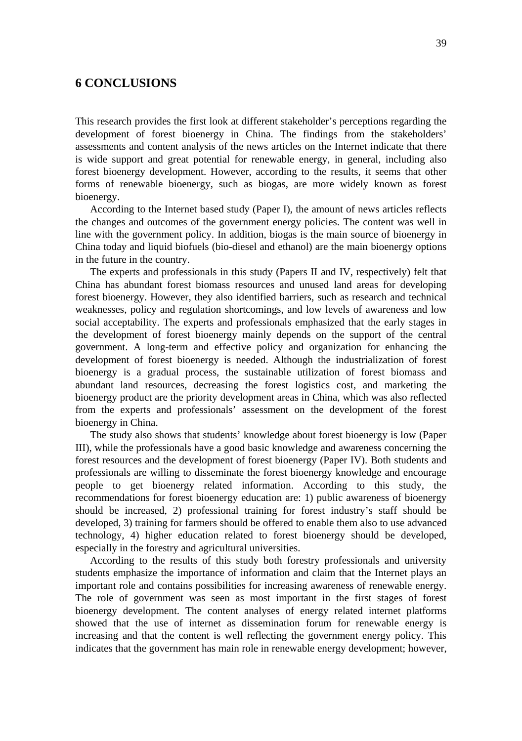## **6 CONCLUSIONS**

This research provides the first look at different stakeholder's perceptions regarding the development of forest bioenergy in China. The findings from the stakeholders' assessments and content analysis of the news articles on the Internet indicate that there is wide support and great potential for renewable energy, in general, including also forest bioenergy development. However, according to the results, it seems that other forms of renewable bioenergy, such as biogas, are more widely known as forest bioenergy.

According to the Internet based study (Paper I), the amount of news articles reflects the changes and outcomes of the government energy policies. The content was well in line with the government policy. In addition, biogas is the main source of bioenergy in China today and liquid biofuels (bio-diesel and ethanol) are the main bioenergy options in the future in the country.

The experts and professionals in this study (Papers II and IV, respectively) felt that China has abundant forest biomass resources and unused land areas for developing forest bioenergy. However, they also identified barriers, such as research and technical weaknesses, policy and regulation shortcomings, and low levels of awareness and low social acceptability. The experts and professionals emphasized that the early stages in the development of forest bioenergy mainly depends on the support of the central government. A long-term and effective policy and organization for enhancing the development of forest bioenergy is needed. Although the industrialization of forest bioenergy is a gradual process, the sustainable utilization of forest biomass and abundant land resources, decreasing the forest logistics cost, and marketing the bioenergy product are the priority development areas in China, which was also reflected from the experts and professionals' assessment on the development of the forest bioenergy in China.

The study also shows that students' knowledge about forest bioenergy is low (Paper III), while the professionals have a good basic knowledge and awareness concerning the forest resources and the development of forest bioenergy (Paper IV). Both students and professionals are willing to disseminate the forest bioenergy knowledge and encourage people to get bioenergy related information. According to this study, the recommendations for forest bioenergy education are: 1) public awareness of bioenergy should be increased, 2) professional training for forest industry's staff should be developed, 3) training for farmers should be offered to enable them also to use advanced technology, 4) higher education related to forest bioenergy should be developed, especially in the forestry and agricultural universities.

According to the results of this study both forestry professionals and university students emphasize the importance of information and claim that the Internet plays an important role and contains possibilities for increasing awareness of renewable energy. The role of government was seen as most important in the first stages of forest bioenergy development. The content analyses of energy related internet platforms showed that the use of internet as dissemination forum for renewable energy is increasing and that the content is well reflecting the government energy policy. This indicates that the government has main role in renewable energy development; however,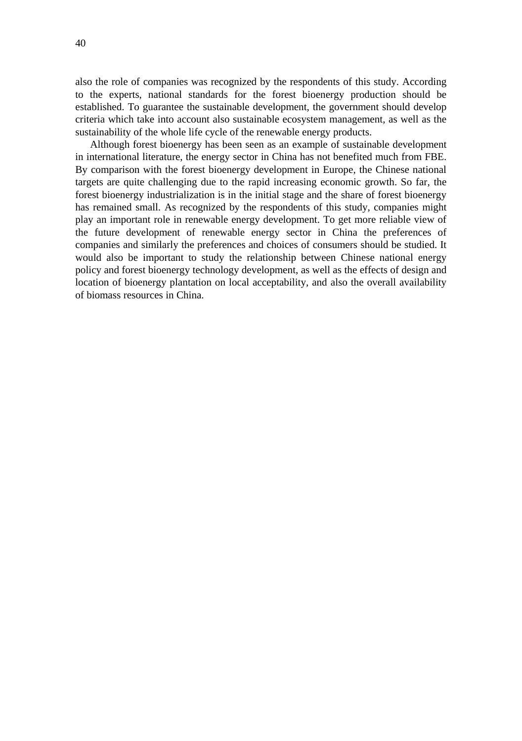also the role of companies was recognized by the respondents of this study. According to the experts, national standards for the forest bioenergy production should be established. To guarantee the sustainable development, the government should develop criteria which take into account also sustainable ecosystem management, as well as the sustainability of the whole life cycle of the renewable energy products.

Although forest bioenergy has been seen as an example of sustainable development in international literature, the energy sector in China has not benefited much from FBE. By comparison with the forest bioenergy development in Europe, the Chinese national targets are quite challenging due to the rapid increasing economic growth. So far, the forest bioenergy industrialization is in the initial stage and the share of forest bioenergy has remained small. As recognized by the respondents of this study, companies might play an important role in renewable energy development. To get more reliable view of the future development of renewable energy sector in China the preferences of companies and similarly the preferences and choices of consumers should be studied. It would also be important to study the relationship between Chinese national energy policy and forest bioenergy technology development, as well as the effects of design and location of bioenergy plantation on local acceptability, and also the overall availability of biomass resources in China.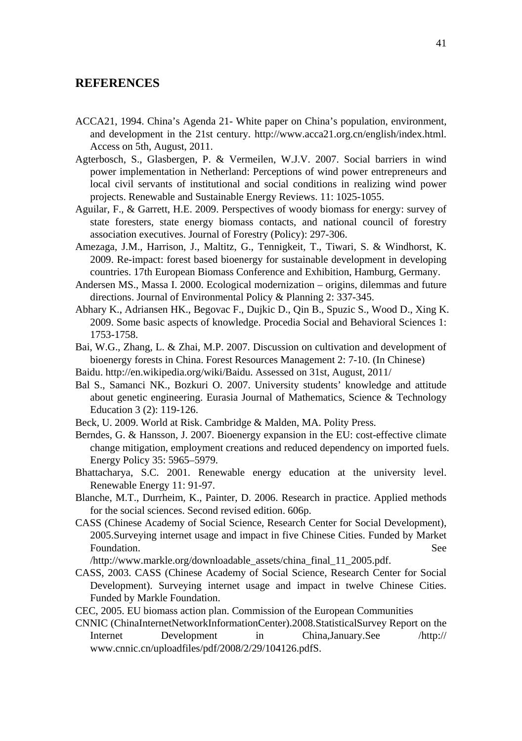### **REFERENCES**

- ACCA21, 1994. China's Agenda 21- White paper on China's population, environment, and development in the 21st century. http://www.acca21.org.cn/english/index.html. Access on 5th, August, 2011.
- Agterbosch, S., Glasbergen, P. & Vermeilen, W.J.V. 2007. Social barriers in wind power implementation in Netherland: Perceptions of wind power entrepreneurs and local civil servants of institutional and social conditions in realizing wind power projects. Renewable and Sustainable Energy Reviews. 11: 1025-1055.
- Aguilar, F., & Garrett, H.E. 2009. Perspectives of woody biomass for energy: survey of state foresters, state energy biomass contacts, and national council of forestry association executives. Journal of Forestry (Policy): 297-306.
- Amezaga, J.M., Harrison, J., Maltitz, G., Tennigkeit, T., Tiwari, S. & Windhorst, K. 2009. Re-impact: forest based bioenergy for sustainable development in developing countries. 17th European Biomass Conference and Exhibition, Hamburg, Germany.
- Andersen MS., Massa I. 2000. Ecological modernization origins, dilemmas and future directions. Journal of Environmental Policy & Planning 2: 337-345.
- Abhary K., Adriansen HK., Begovac F., Dujkic D., Qin B., Spuzic S., Wood D., Xing K. 2009. Some basic aspects of knowledge. Procedia Social and Behavioral Sciences 1: 1753-1758.
- Bai, W.G., Zhang, L. & Zhai, M.P. 2007. Discussion on cultivation and development of bioenergy forests in China. Forest Resources Management 2: 7-10. (In Chinese)
- Baidu. http://en.wikipedia.org/wiki/Baidu. Assessed on 31st, August, 2011/
- Bal S., Samanci NK., Bozkuri O. 2007. University students' knowledge and attitude about genetic engineering. Eurasia Journal of Mathematics, Science & Technology Education 3 (2): 119-126.
- Beck, U. 2009. World at Risk. Cambridge & Malden, MA. Polity Press.
- Berndes, G. & Hansson, J. 2007. Bioenergy expansion in the EU: cost-effective climate change mitigation, employment creations and reduced dependency on imported fuels. Energy Policy 35: 5965–5979.
- Bhattacharya, S.C. 2001. Renewable energy education at the university level. Renewable Energy 11: 91-97.
- Blanche, M.T., Durrheim, K., Painter, D. 2006. Research in practice. Applied methods for the social sciences. Second revised edition. 606p.
- CASS (Chinese Academy of Social Science, Research Center for Social Development), 2005.Surveying internet usage and impact in five Chinese Cities. Funded by Market Foundation. See

/http://www.markle.org/downloadable\_assets/china\_final\_11\_2005.pdf.

- CASS, 2003. CASS (Chinese Academy of Social Science, Research Center for Social Development). Surveying internet usage and impact in twelve Chinese Cities. Funded by Markle Foundation.
- CEC, 2005. EU biomass action plan. Commission of the European Communities
- CNNIC (ChinaInternetNetworkInformationCenter).2008.StatisticalSurvey Report on the Internet Development in China,January.See /http:// www.cnnic.cn/uploadfiles/pdf/2008/2/29/104126.pdfS.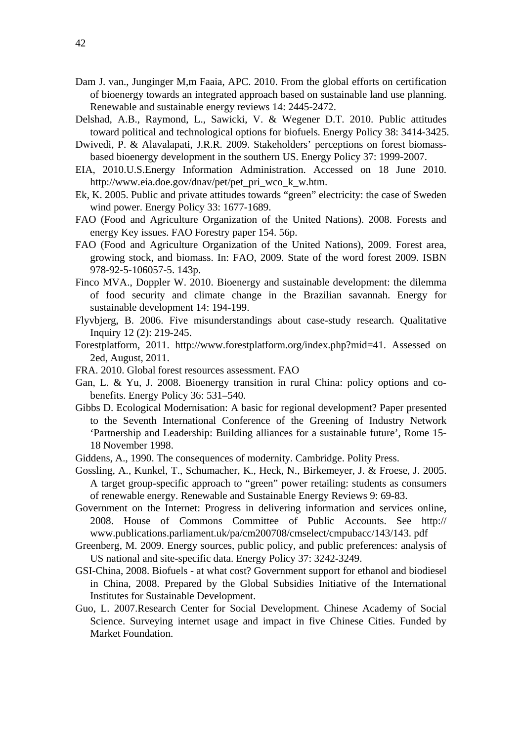- Dam J. van., Junginger M,m Faaia, APC. 2010. From the global efforts on certification of bioenergy towards an integrated approach based on sustainable land use planning. Renewable and sustainable energy reviews 14: 2445-2472.
- Delshad, A.B., Raymond, L., Sawicki, V. & Wegener D.T. 2010. Public attitudes toward political and technological options for biofuels. Energy Policy 38: 3414-3425.
- Dwivedi, P. & Alavalapati, J.R.R. 2009. Stakeholders' perceptions on forest biomassbased bioenergy development in the southern US. Energy Policy 37: 1999-2007.
- EIA, 2010.U.S.Energy Information Administration. Accessed on 18 June 2010. http://www.eia.doe.gov/dnav/pet/pet\_pri\_wco\_k\_w.htm.
- Ek, K. 2005. Public and private attitudes towards "green" electricity: the case of Sweden wind power. Energy Policy 33: 1677-1689.
- FAO (Food and Agriculture Organization of the United Nations). 2008. Forests and energy Key issues. FAO Forestry paper 154. 56p.
- FAO (Food and Agriculture Organization of the United Nations), 2009. Forest area, growing stock, and biomass. In: FAO, 2009. State of the word forest 2009. ISBN 978-92-5-106057-5. 143p.
- Finco MVA., Doppler W. 2010. Bioenergy and sustainable development: the dilemma of food security and climate change in the Brazilian savannah. Energy for sustainable development 14: 194-199.
- Flyvbjerg, B. 2006. Five misunderstandings about case-study research. Qualitative Inquiry 12 (2): 219-245.
- Forestplatform, 2011. http://www.forestplatform.org/index.php?mid=41. Assessed on 2ed, August, 2011.
- FRA. 2010. Global forest resources assessment. FAO
- Gan, L. & Yu, J. 2008. Bioenergy transition in rural China: policy options and cobenefits. Energy Policy 36: 531–540.
- Gibbs D. Ecological Modernisation: A basic for regional development? Paper presented to the Seventh International Conference of the Greening of Industry Network 'Partnership and Leadership: Building alliances for a sustainable future', Rome 15- 18 November 1998.
- Giddens, A., 1990. The consequences of modernity. Cambridge. Polity Press.
- Gossling, A., Kunkel, T., Schumacher, K., Heck, N., Birkemeyer, J. & Froese, J. 2005. A target group-specific approach to "green" power retailing: students as consumers of renewable energy. Renewable and Sustainable Energy Reviews 9: 69-83.
- Government on the Internet: Progress in delivering information and services online, 2008. House of Commons Committee of Public Accounts. See http:// www.publications.parliament.uk/pa/cm200708/cmselect/cmpubacc/143/143. pdf
- Greenberg, M. 2009. Energy sources, public policy, and public preferences: analysis of US national and site-specific data. Energy Policy 37: 3242-3249.
- GSI-China, 2008. Biofuels at what cost? Government support for ethanol and biodiesel in China, 2008. Prepared by the Global Subsidies Initiative of the International Institutes for Sustainable Development.
- Guo, L. 2007.Research Center for Social Development. Chinese Academy of Social Science. Surveying internet usage and impact in five Chinese Cities. Funded by Market Foundation.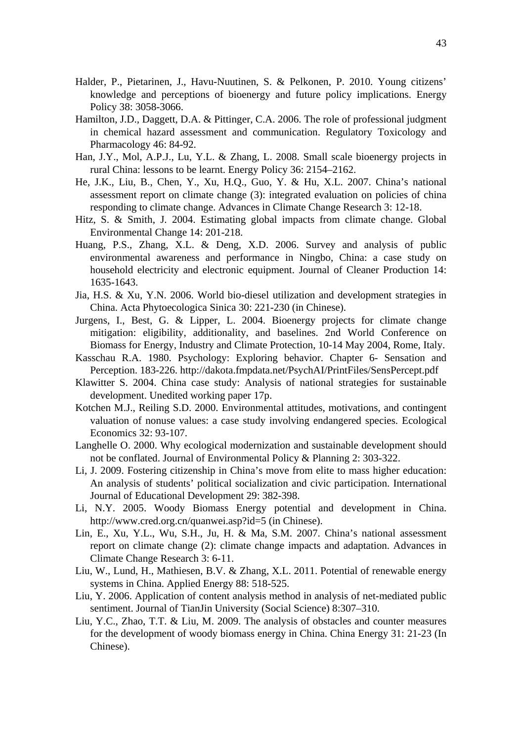- Halder, P., Pietarinen, J., Havu-Nuutinen, S. & Pelkonen, P. 2010. Young citizens' knowledge and perceptions of bioenergy and future policy implications. Energy Policy 38: 3058-3066.
- Hamilton, J.D., Daggett, D.A. & Pittinger, C.A. 2006. The role of professional judgment in chemical hazard assessment and communication. Regulatory Toxicology and Pharmacology 46: 84-92.
- Han, J.Y., Mol, A.P.J., Lu, Y.L. & Zhang, L. 2008. Small scale bioenergy projects in rural China: lessons to be learnt. Energy Policy 36: 2154–2162.
- He, J.K., Liu, B., Chen, Y., Xu, H.Q., Guo, Y. & Hu, X.L. 2007. China's national assessment report on climate change (3): integrated evaluation on policies of china responding to climate change. Advances in Climate Change Research 3: 12-18.
- Hitz, S. & Smith, J. 2004. Estimating global impacts from climate change. Global Environmental Change 14: 201-218.
- Huang, P.S., Zhang, X.L. & Deng, X.D. 2006. Survey and analysis of public environmental awareness and performance in Ningbo, China: a case study on household electricity and electronic equipment. Journal of Cleaner Production 14: 1635-1643.
- Jia, H.S. & Xu, Y.N. 2006. World bio-diesel utilization and development strategies in China. Acta Phytoecologica Sinica 30: 221-230 (in Chinese).
- Jurgens, I., Best, G. & Lipper, L. 2004. Bioenergy projects for climate change mitigation: eligibility, additionality, and baselines. 2nd World Conference on Biomass for Energy, Industry and Climate Protection, 10-14 May 2004, Rome, Italy.
- Kasschau R.A. 1980. Psychology: Exploring behavior. Chapter 6- Sensation and Perception. 183-226. http://dakota.fmpdata.net/PsychAI/PrintFiles/SensPercept.pdf
- Klawitter S. 2004. China case study: Analysis of national strategies for sustainable development. Unedited working paper 17p.
- Kotchen M.J., Reiling S.D. 2000. Environmental attitudes, motivations, and contingent valuation of nonuse values: a case study involving endangered species. Ecological Economics 32: 93-107.
- Langhelle O. 2000. Why ecological modernization and sustainable development should not be conflated. Journal of Environmental Policy & Planning 2: 303-322.
- Li, J. 2009. Fostering citizenship in China's move from elite to mass higher education: An analysis of students' political socialization and civic participation. International Journal of Educational Development 29: 382-398.
- Li, N.Y. 2005. Woody Biomass Energy potential and development in China. http://www.cred.org.cn/quanwei.asp?id=5 (in Chinese).
- Lin, E., Xu, Y.L., Wu, S.H., Ju, H. & Ma, S.M. 2007. China's national assessment report on climate change (2): climate change impacts and adaptation. Advances in Climate Change Research 3: 6-11.
- Liu, W., Lund, H., Mathiesen, B.V. & Zhang, X.L. 2011. Potential of renewable energy systems in China. Applied Energy 88: 518-525.
- Liu, Y. 2006. Application of content analysis method in analysis of net-mediated public sentiment. Journal of TianJin University (Social Science) 8:307–310.
- Liu, Y.C., Zhao, T.T. & Liu, M. 2009. The analysis of obstacles and counter measures for the development of woody biomass energy in China. China Energy 31: 21-23 (In Chinese).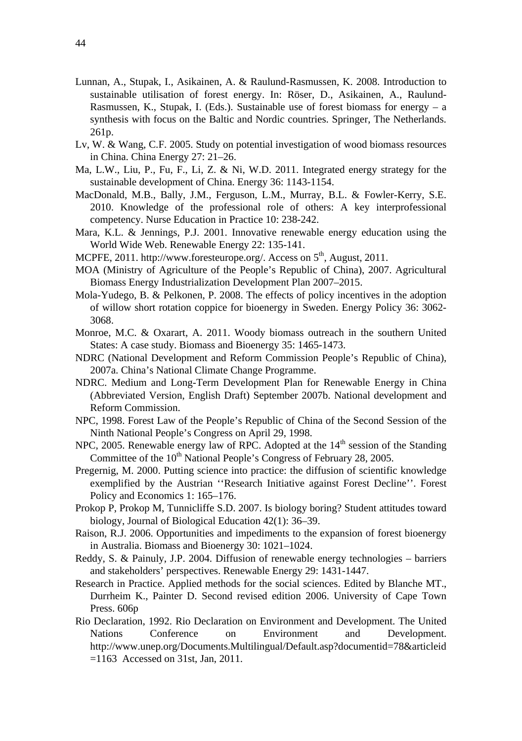- Lunnan, A., Stupak, I., Asikainen, A. & Raulund-Rasmussen, K. 2008. Introduction to sustainable utilisation of forest energy. In: Röser, D., Asikainen, A., Raulund-Rasmussen, K., Stupak, I. (Eds.). Sustainable use of forest biomass for energy  $-$  a synthesis with focus on the Baltic and Nordic countries. Springer, The Netherlands. 261p.
- Lv, W. & Wang, C.F. 2005. Study on potential investigation of wood biomass resources in China. China Energy 27: 21–26.
- Ma, L.W., Liu, P., Fu, F., Li, Z. & Ni, W.D. 2011. Integrated energy strategy for the sustainable development of China. Energy 36: 1143-1154.
- MacDonald, M.B., Bally, J.M., Ferguson, L.M., Murray, B.L. & Fowler-Kerry, S.E. 2010. Knowledge of the professional role of others: A key interprofessional competency. Nurse Education in Practice 10: 238-242.
- Mara, K.L. & Jennings, P.J. 2001. Innovative renewable energy education using the World Wide Web. Renewable Energy 22: 135-141.
- MCPFE, 2011. http://www.foresteurope.org/. Access on  $5<sup>th</sup>$ , August, 2011.
- MOA (Ministry of Agriculture of the People's Republic of China), 2007. Agricultural Biomass Energy Industrialization Development Plan 2007–2015.
- Mola-Yudego, B. & Pelkonen, P. 2008. The effects of policy incentives in the adoption of willow short rotation coppice for bioenergy in Sweden. Energy Policy 36: 3062- 3068.
- Monroe, M.C. & Oxarart, A. 2011. Woody biomass outreach in the southern United States: A case study. Biomass and Bioenergy 35: 1465-1473.
- NDRC (National Development and Reform Commission People's Republic of China), 2007a. China's National Climate Change Programme.
- NDRC. Medium and Long-Term Development Plan for Renewable Energy in China (Abbreviated Version, English Draft) September 2007b. National development and Reform Commission.
- NPC, 1998. Forest Law of the People's Republic of China of the Second Session of the Ninth National People's Congress on April 29, 1998.
- NPC, 2005. Renewable energy law of RPC. Adopted at the  $14<sup>th</sup>$  session of the Standing Committee of the 10<sup>th</sup> National People's Congress of February 28, 2005.
- Pregernig, M. 2000. Putting science into practice: the diffusion of scientific knowledge exemplified by the Austrian ''Research Initiative against Forest Decline''. Forest Policy and Economics 1: 165–176.
- Prokop P, Prokop M, Tunnicliffe S.D. 2007. Is biology boring? Student attitudes toward biology, Journal of Biological Education 42(1): 36–39.
- Raison, R.J. 2006. Opportunities and impediments to the expansion of forest bioenergy in Australia. Biomass and Bioenergy 30: 1021–1024.
- Reddy, S. & Painuly, J.P. 2004. Diffusion of renewable energy technologies barriers and stakeholders' perspectives. Renewable Energy 29: 1431-1447.
- Research in Practice. Applied methods for the social sciences. Edited by Blanche MT., Durrheim K., Painter D. Second revised edition 2006. University of Cape Town Press. 606p
- Rio Declaration, 1992. Rio Declaration on Environment and Development. The United Nations Conference on Environment and Development. http://www.unep.org/Documents.Multilingual/Default.asp?documentid=78&articleid =1163 Accessed on 31st, Jan, 2011.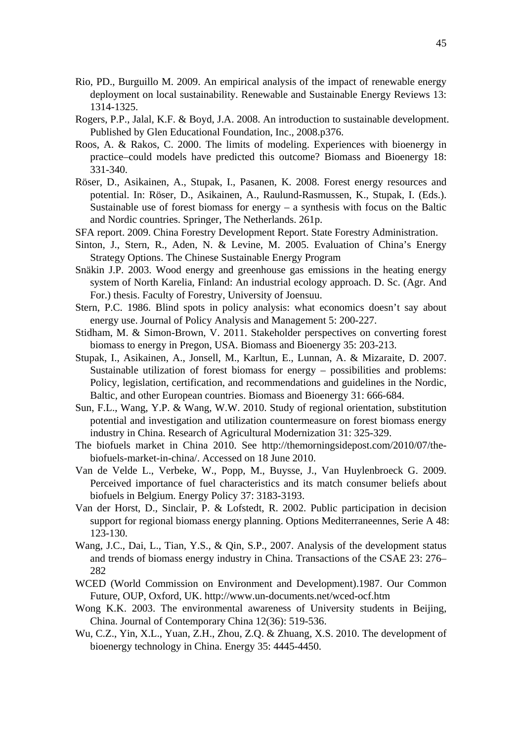- Rio, PD., Burguillo M. 2009. An empirical analysis of the impact of renewable energy deployment on local sustainability. Renewable and Sustainable Energy Reviews 13: 1314-1325.
- Rogers, P.P., Jalal, K.F. & Boyd, J.A. 2008. An introduction to sustainable development. Published by Glen Educational Foundation, Inc., 2008.p376.
- Roos, A. & Rakos, C. 2000. The limits of modeling. Experiences with bioenergy in practice–could models have predicted this outcome? Biomass and Bioenergy 18: 331-340.
- Röser, D., Asikainen, A., Stupak, I., Pasanen, K. 2008. Forest energy resources and potential. In: Röser, D., Asikainen, A., Raulund-Rasmussen, K., Stupak, I. (Eds.). Sustainable use of forest biomass for energy  $-$  a synthesis with focus on the Baltic and Nordic countries. Springer, The Netherlands. 261p.
- SFA report. 2009. China Forestry Development Report. State Forestry Administration.
- Sinton, J., Stern, R., Aden, N. & Levine, M. 2005. Evaluation of China's Energy Strategy Options. The Chinese Sustainable Energy Program
- Snäkin J.P. 2003. Wood energy and greenhouse gas emissions in the heating energy system of North Karelia, Finland: An industrial ecology approach. D. Sc. (Agr. And For.) thesis. Faculty of Forestry, University of Joensuu.
- Stern, P.C. 1986. Blind spots in policy analysis: what economics doesn't say about energy use. Journal of Policy Analysis and Management 5: 200-227.
- Stidham, M. & Simon-Brown, V. 2011. Stakeholder perspectives on converting forest biomass to energy in Pregon, USA. Biomass and Bioenergy 35: 203-213.
- Stupak, I., Asikainen, A., Jonsell, M., Karltun, E., Lunnan, A. & Mizaraite, D. 2007. Sustainable utilization of forest biomass for energy – possibilities and problems: Policy, legislation, certification, and recommendations and guidelines in the Nordic, Baltic, and other European countries. Biomass and Bioenergy 31: 666-684.
- Sun, F.L., Wang, Y.P. & Wang, W.W. 2010. Study of regional orientation, substitution potential and investigation and utilization countermeasure on forest biomass energy industry in China. Research of Agricultural Modernization 31: 325-329.
- The biofuels market in China 2010. See http://themorningsidepost.com/2010/07/thebiofuels-market-in-china/. Accessed on 18 June 2010.
- Van de Velde L., Verbeke, W., Popp, M., Buysse, J., Van Huylenbroeck G. 2009. Perceived importance of fuel characteristics and its match consumer beliefs about biofuels in Belgium. Energy Policy 37: 3183-3193.
- Van der Horst, D., Sinclair, P. & Lofstedt, R. 2002. Public participation in decision support for regional biomass energy planning. Options Mediterraneennes, Serie A 48: 123-130.
- Wang, J.C., Dai, L., Tian, Y.S., & Qin, S.P., 2007. Analysis of the development status and trends of biomass energy industry in China. Transactions of the CSAE 23: 276– 282
- WCED (World Commission on Environment and Development).1987. Our Common Future, OUP, Oxford, UK. http://www.un-documents.net/wced-ocf.htm
- Wong K.K. 2003. The environmental awareness of University students in Beijing, China. Journal of Contemporary China 12(36): 519-536.
- Wu, C.Z., Yin, X.L., Yuan, Z.H., Zhou, Z.Q. & Zhuang, X.S. 2010. The development of bioenergy technology in China. Energy 35: 4445-4450.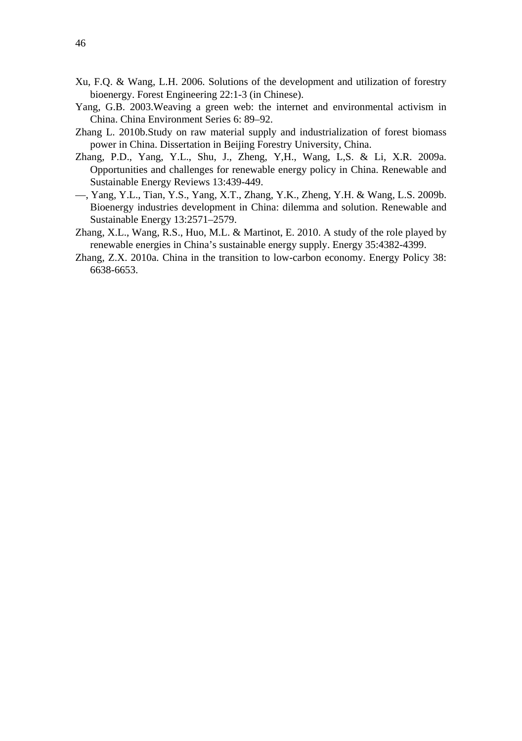- Xu, F.Q. & Wang, L.H. 2006. Solutions of the development and utilization of forestry bioenergy. Forest Engineering 22:1-3 (in Chinese).
- Yang, G.B. 2003.Weaving a green web: the internet and environmental activism in China. China Environment Series 6: 89–92.
- Zhang L. 2010b.Study on raw material supply and industrialization of forest biomass power in China. Dissertation in Beijing Forestry University, China.
- Zhang, P.D., Yang, Y.L., Shu, J., Zheng, Y,H., Wang, L,S. & Li, X.R. 2009a. Opportunities and challenges for renewable energy policy in China. Renewable and Sustainable Energy Reviews 13:439-449.
- —, Yang, Y.L., Tian, Y.S., Yang, X.T., Zhang, Y.K., Zheng, Y.H. & Wang, L.S. 2009b. Bioenergy industries development in China: dilemma and solution. Renewable and Sustainable Energy 13:2571–2579.
- Zhang, X.L., Wang, R.S., Huo, M.L. & Martinot, E. 2010. A study of the role played by renewable energies in China's sustainable energy supply. Energy 35:4382-4399.
- Zhang, Z.X. 2010a. China in the transition to low-carbon economy. Energy Policy 38: 6638-6653.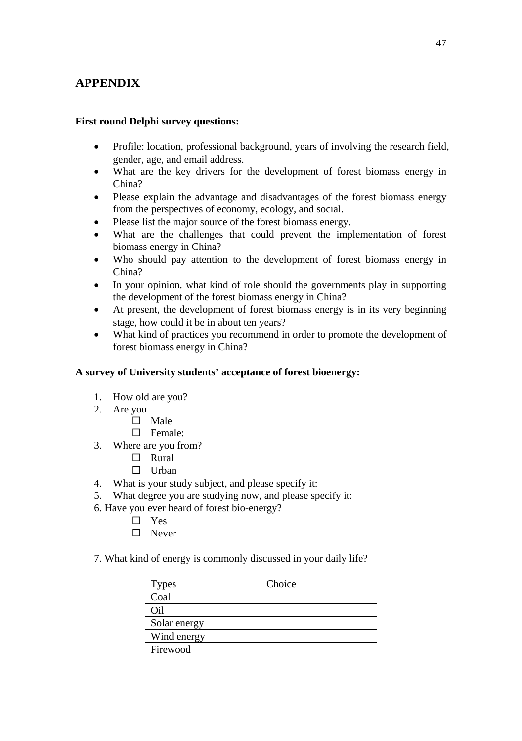## **APPENDIX**

## **First round Delphi survey questions:**

- Profile: location, professional background, years of involving the research field, gender, age, and email address.
- What are the key drivers for the development of forest biomass energy in China?
- Please explain the advantage and disadvantages of the forest biomass energy from the perspectives of economy, ecology, and social.
- Please list the major source of the forest biomass energy.
- What are the challenges that could prevent the implementation of forest biomass energy in China?
- Who should pay attention to the development of forest biomass energy in China?
- In your opinion, what kind of role should the governments play in supporting the development of the forest biomass energy in China?
- At present, the development of forest biomass energy is in its very beginning stage, how could it be in about ten years?
- What kind of practices you recommend in order to promote the development of forest biomass energy in China?

## **A survey of University students' acceptance of forest bioenergy:**

- 1. How old are you?
- 2. Are you
	- $\hfill \square$  Male
	- □ Female:
- 3. Where are you from?
	- $\Box$  Rural
	- $\Box$  Urban
- 4. What is your study subject, and please specify it:
- 5. What degree you are studying now, and please specify it:
- 6. Have you ever heard of forest bio-energy?
	- □ Yes
		- □ Never
- 7. What kind of energy is commonly discussed in your daily life?

| <b>Types</b> | Choice |
|--------------|--------|
| Coal         |        |
| Oil          |        |
| Solar energy |        |
| Wind energy  |        |
| Firewood     |        |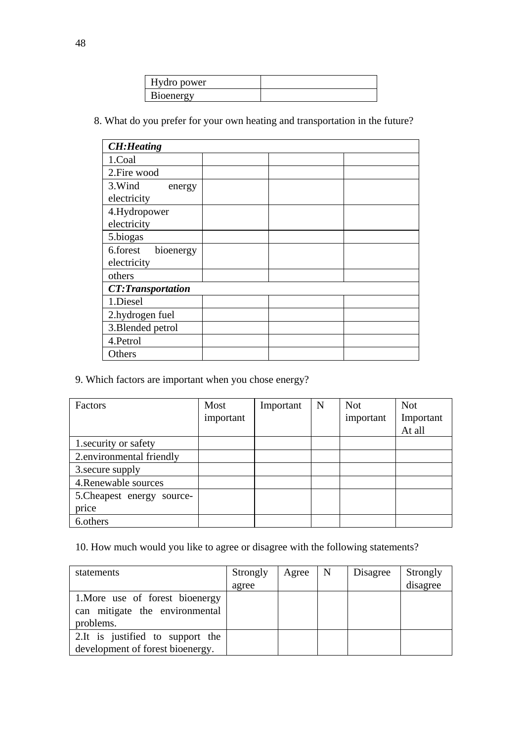| lydro power      |  |
|------------------|--|
| <b>Bioenergy</b> |  |

8. What do you prefer for your own heating and transportation in the future?

| <b>CH:Heating</b>        |  |  |
|--------------------------|--|--|
| 1.Coal                   |  |  |
| 2. Fire wood             |  |  |
| 3. Wind<br>energy        |  |  |
| electricity              |  |  |
| 4.Hydropower             |  |  |
| electricity              |  |  |
| 5.biogas                 |  |  |
| 6.forest<br>bioenergy    |  |  |
| electricity              |  |  |
| others                   |  |  |
| <b>CT:Transportation</b> |  |  |
| 1.Diesel                 |  |  |
| 2.hydrogen fuel          |  |  |
| 3. Blended petrol        |  |  |
| 4.Petrol                 |  |  |
| Others                   |  |  |

9. Which factors are important when you chose energy?

| <b>Factors</b>             | Most      | Important | $\mathbf N$ | <b>Not</b> | <b>Not</b> |
|----------------------------|-----------|-----------|-------------|------------|------------|
|                            | important |           |             | important  | Important  |
|                            |           |           |             |            | At all     |
| 1. security or safety      |           |           |             |            |            |
| 2.environmental friendly   |           |           |             |            |            |
| 3. secure supply           |           |           |             |            |            |
| 4. Renewable sources       |           |           |             |            |            |
| 5. Cheapest energy source- |           |           |             |            |            |
| price                      |           |           |             |            |            |
| 6.others                   |           |           |             |            |            |

10. How much would you like to agree or disagree with the following statements?

| statements                                                                     | Strongly | Agree | l N | Disagree | Strongly |
|--------------------------------------------------------------------------------|----------|-------|-----|----------|----------|
|                                                                                | agree    |       |     |          | disagree |
| 1. More use of forest bioenergy<br>can mitigate the environmental<br>problems. |          |       |     |          |          |
| 2. It is justified to support the<br>development of forest bioenergy.          |          |       |     |          |          |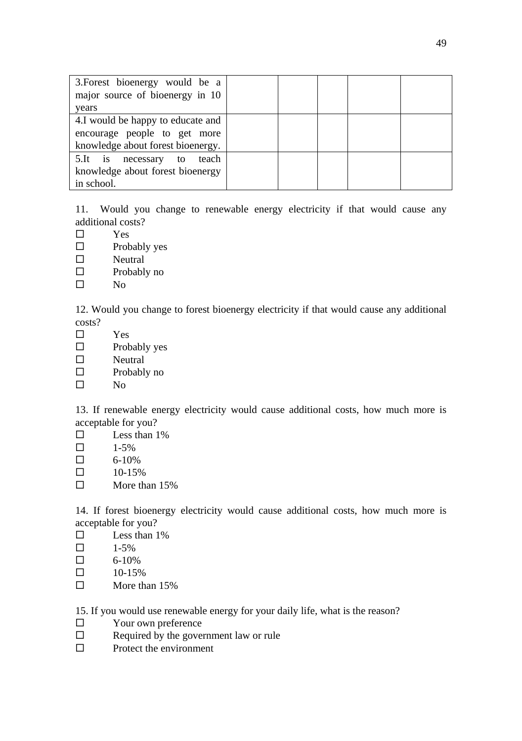| 3. Forest bioenergy would be a    |  |  |  |
|-----------------------------------|--|--|--|
| major source of bioenergy in 10   |  |  |  |
| years                             |  |  |  |
| 4.I would be happy to educate and |  |  |  |
| encourage people to get more      |  |  |  |
| knowledge about forest bioenergy. |  |  |  |
| 5.It is necessary to teach        |  |  |  |
| knowledge about forest bioenergy  |  |  |  |
| in school.                        |  |  |  |

11. Would you change to renewable energy electricity if that would cause any additional costs?

- Yes
- $\square$  Probably yes
- □ Neutral
- $\square$  Probably no
- $\square$  No

12. Would you change to forest bioenergy electricity if that would cause any additional costs?

- Yes
- $\square$  Probably yes
- □ Neutral
- $\square$  Probably no
- $\square$  No

13. If renewable energy electricity would cause additional costs, how much more is acceptable for you?

- $\square$  Less than 1%
- $\Box$  1-5%
- $\Box$  6-10%
- $\Box$  10-15%
- $\Box$  More than 15%

14. If forest bioenergy electricity would cause additional costs, how much more is acceptable for you?

- $\square$  Less than 1%
- $\Box$  1-5%
- $\Box$  6-10%
- $\Box$  10-15%
- $\Box$  More than 15%

15. If you would use renewable energy for your daily life, what is the reason?

- □ Your own preference
- $\Box$  Required by the government law or rule
- $\square$  Protect the environment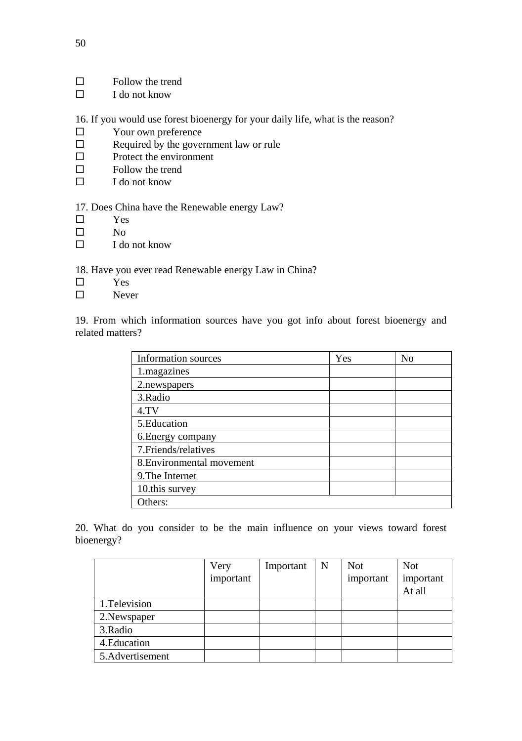- $\Box$  Follow the trend
- $\Box$  I do not know

16. If you would use forest bioenergy for your daily life, what is the reason?

- □ Your own preference
- $\Box$  Required by the government law or rule
- $\square$  Protect the environment
- $\Box$  Follow the trend
- $\square$  I do not know

17. Does China have the Renewable energy Law?

- Yes
- $\Box$  No
- $\Box$  I do not know

18. Have you ever read Renewable energy Law in China?

- $\square$  Yes
- □ Never

19. From which information sources have you got info about forest bioenergy and related matters?

| Information sources       | Yes | N <sub>0</sub> |
|---------------------------|-----|----------------|
| 1.magazines               |     |                |
| 2. newspapers             |     |                |
| 3. Radio                  |     |                |
| 4.TV                      |     |                |
| 5. Education              |     |                |
| 6. Energy company         |     |                |
| 7. Friends/relatives      |     |                |
| 8. Environmental movement |     |                |
| 9. The Internet           |     |                |
| 10.this survey            |     |                |
| Others:                   |     |                |

20. What do you consider to be the main influence on your views toward forest bioenergy?

|                  | Very      | Important | N | <b>Not</b> | <b>Not</b> |
|------------------|-----------|-----------|---|------------|------------|
|                  | important |           |   | important  | important  |
|                  |           |           |   |            | At all     |
| 1. Television    |           |           |   |            |            |
| 2. Newspaper     |           |           |   |            |            |
| 3. Radio         |           |           |   |            |            |
| 4. Education     |           |           |   |            |            |
| 5. Advertisement |           |           |   |            |            |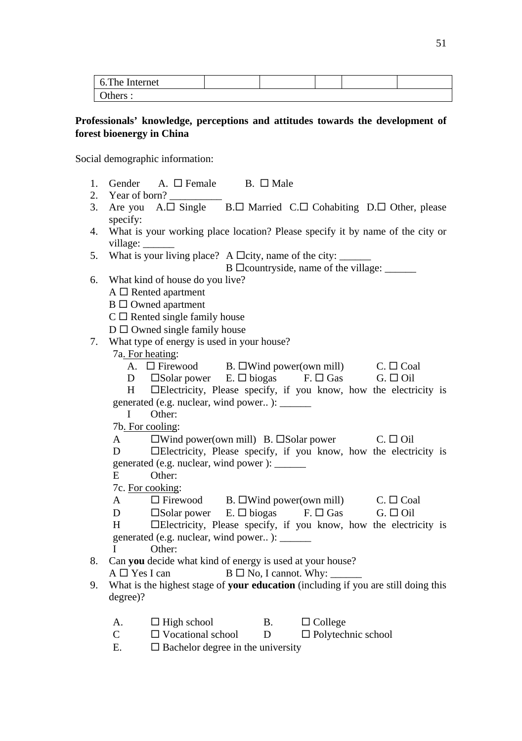| 6. The Internet |  |  |  |
|-----------------|--|--|--|
| Others :        |  |  |  |

### **Professionals' knowledge, perceptions and attitudes towards the development of forest bioenergy in China**

Social demographic information:

- 1. Gender A.  $\square$  Female B.  $\square$  Male
- 2. Year of born?
- 3. Are you  $A.\Box$  Single  $B.\Box$  Married  $C.\Box$  Cohabiting  $D.\Box$  Other, please specify:
- 4. What is your working place location? Please specify it by name of the city or village:
- 5. What is your living place? A  $\Box$  city, name of the city:

B  $\square$ countryside, name of the village:

- 6. What kind of house do you live?
	- $A \square$  Rented apartment
	- $B \Box$  Owned apartment
	- $C \square$  Rented single family house
	- $D \square$  Owned single family house
- 7. What type of energy is used in your house?
	- 7a. For heating:
		- A.  $\Box$  Firewood B.  $\Box$  Wind power(own mill) C.  $\Box$  Coal
		- D  $\square$  Solar power  $E. \square$  biogas  $F. \square$  Gas  $G. \square$  Oil

H **Electricity**, Please specify, if you know, how the electricity is generated (e.g. nuclear, wind power.. ): \_\_\_\_\_\_

I Other: 7b. For cooling:

- A  $\square$  Wind power(own mill) B.  $\square$  Solar power C.  $\square$  Oil
- D Electricity, Please specify, if you know, how the electricity is generated (e.g. nuclear, wind power ): \_\_\_\_\_\_
- E Other:

7c. For cooking:

- A  $\Box$  Firewood B.  $\Box$  Wind power(own mill) C.  $\Box$  Coal
- D  $\square$  Solar power E.  $\square$  biogas F.  $\square$  Gas G.  $\square$  Oil
- H Electricity, Please specify, if you know, how the electricity is generated (e.g. nuclear, wind power.. ): \_\_\_\_\_\_
- I Other:
- 8. Can **you** decide what kind of energy is used at your house?
	- $A \Box Y$ es I can  $B \Box No$ , I cannot. Why:
- 9. What is the highest stage of **your education** (including if you are still doing this degree)?
	- A.  $\Box$  High school B.  $\Box$  College
	- $C \Box$  Vocational school  $D \Box$  Polytechnic school
	- E.  $\Box$  Bachelor degree in the university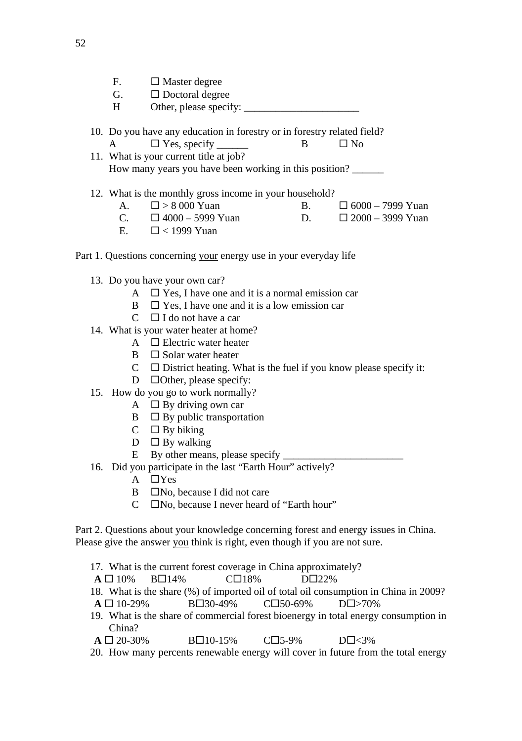- $F.$   $\Box$  Master degree
- G.  $\Box$  Doctoral degree
- H Other, please specify:
- 10. Do you have any education in forestry or in forestry related field?
- A  $\Box$  Yes, specify  $\Box$  No 11. What is your current title at job? How many years you have been working in this position? \_\_\_\_\_\_
- 12. What is the monthly gross income in your household?
	- A.  $\Box > 8000$  Yuan B.  $\Box$  6000 7999 Yuan
	- C.  $\Box$  4000 5999 Yuan D.  $\Box$  2000 3999 Yuan
		- E $\Box$  < 1999 Yuan
- Part 1. Questions concerning your energy use in your everyday life
	- 13. Do you have your own car?
		- A  $\Box$  Yes, I have one and it is a normal emission car
		- $\mathbf{B} \quad \Box \mathbf{Y}$ es. I have one and it is a low emission car
		- $C \square$  I do not have a car
	- 14. What is your water heater at home?
		- A  $\Box$  Electric water heater
		- $\mathbf{B}$   $\Box$  Solar water heater
		- $C \Box$  District heating. What is the fuel if you know please specify it:
		- D **Other**, please specify:
	- 15. How do you go to work normally?
		- A  $\Box$  By driving own car
		- $\mathbf{B} \quad \Box$  By public transportation
		- $C \square$  By biking
		- $D$   $\Box$  By walking
		- $E$  By other means, please specify  $\overline{\phantom{a}}$
	- 16. Did you participate in the last "Earth Hour" actively?
		- $A$   $\Box$ Yes
		- $B \Box$ No, because I did not care
		- $C$   $\Box$  No, because I never heard of "Earth hour"

Part 2. Questions about your knowledge concerning forest and energy issues in China. Please give the answer you think is right, even though if you are not sure.

- 17. What is the current forest coverage in China approximately?
- $A \Box 10\%$  B $\Box 14\%$  C $\Box 18\%$  D $\Box 22\%$
- 18. What is the share (%) of imported oil of total oil consumption in China in 2009? **A** □ 10-29% B□30-49% C□50-69% D□>70%
- 19. What is the share of commercial forest bioenergy in total energy consumption in China?
- $A \Box 20-30\%$   $B \Box 10-15\%$   $C \Box 5-9\%$   $D \Box \langle 3\%$
- 20. How many percents renewable energy will cover in future from the total energy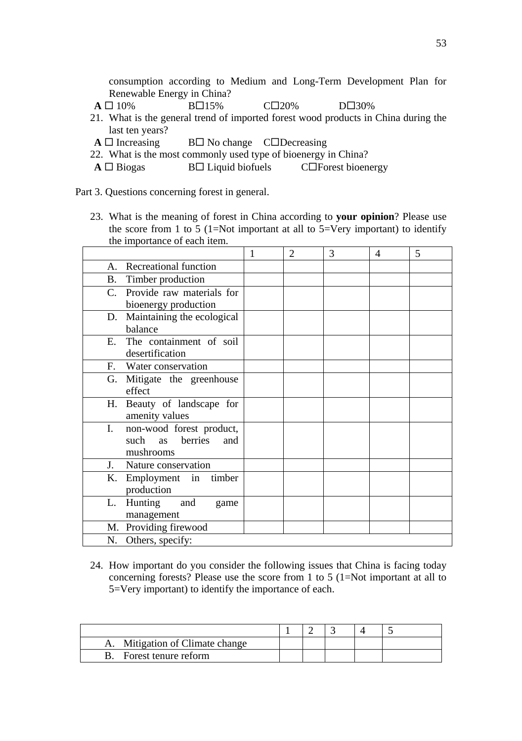consumption according to Medium and Long-Term Development Plan for Renewable Energy in China?

- $A \Box 10\%$  B $\Box 15\%$  C $\Box 20\%$  D $\Box 30\%$
- 21. What is the general trend of imported forest wood products in China during the last ten years?
- $A \Box$  Increasing  $B \Box$  No change  $C \Box$  Decreasing
- 22. What is the most commonly used type of bioenergy in China?
- $A \Box$  Biogas  $B \Box$  Liquid biofuels  $C \Box$  Forest bioenergy

Part 3. Questions concerning forest in general.

23. What is the meaning of forest in China according to **your opinion**? Please use the score from 1 to 5 (1=Not important at all to  $5=$ Very important) to identify the importance of each item.

|                |                              | 1 | 2 | 3 | 4 | 5 |
|----------------|------------------------------|---|---|---|---|---|
| A.             | Recreational function        |   |   |   |   |   |
|                | B. Timber production         |   |   |   |   |   |
|                | C. Provide raw materials for |   |   |   |   |   |
|                | bioenergy production         |   |   |   |   |   |
| D.             | Maintaining the ecological   |   |   |   |   |   |
|                | balance                      |   |   |   |   |   |
| E.             | The containment of soil      |   |   |   |   |   |
|                | desertification              |   |   |   |   |   |
|                | F. Water conservation        |   |   |   |   |   |
|                | G. Mitigate the greenhouse   |   |   |   |   |   |
|                | effect                       |   |   |   |   |   |
|                | H. Beauty of landscape for   |   |   |   |   |   |
|                | amenity values               |   |   |   |   |   |
| I.             | non-wood forest product,     |   |   |   |   |   |
|                | berries<br>such as<br>and    |   |   |   |   |   |
|                | mushrooms                    |   |   |   |   |   |
| $\mathbf{I}$ . | Nature conservation          |   |   |   |   |   |
| К.             | Employment in<br>timber      |   |   |   |   |   |
|                | production                   |   |   |   |   |   |
| L.             | Hunting and<br>game          |   |   |   |   |   |
|                | management                   |   |   |   |   |   |
|                | M. Providing firewood        |   |   |   |   |   |
|                | N. Others, specify:          |   |   |   |   |   |

24. How important do you consider the following issues that China is facing today concerning forests? Please use the score from 1 to 5 (1=Not important at all to 5=Very important) to identify the importance of each.

| Mitigation of Climate change |  |  |  |
|------------------------------|--|--|--|
| Forest tenure reform         |  |  |  |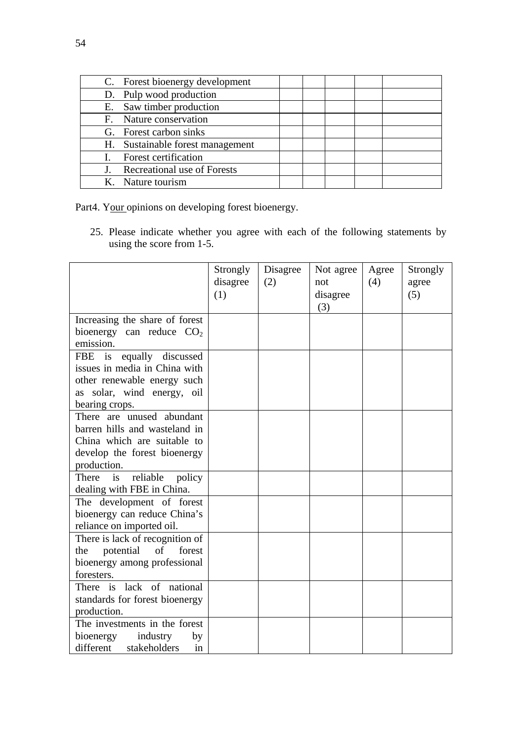| C. Forest bioenergy development  |  |  |
|----------------------------------|--|--|
| D. Pulp wood production          |  |  |
| E. Saw timber production         |  |  |
| F. Nature conservation           |  |  |
| G. Forest carbon sinks           |  |  |
| H. Sustainable forest management |  |  |
| Forest certification             |  |  |
| Recreational use of Forests      |  |  |
| K. Nature tourism                |  |  |

Part4. Your opinions on developing forest bioenergy.

25. Please indicate whether you agree with each of the following statements by using the score from 1-5.

|                                 | Strongly | Disagree | Not agree | Agree | Strongly |
|---------------------------------|----------|----------|-----------|-------|----------|
|                                 | disagree | (2)      | not       | (4)   | agree    |
|                                 | (1)      |          | disagree  |       | (5)      |
|                                 |          |          | (3)       |       |          |
| Increasing the share of forest  |          |          |           |       |          |
| bioenergy can reduce $CO2$      |          |          |           |       |          |
| emission.                       |          |          |           |       |          |
| equally discussed<br>FBE<br>is  |          |          |           |       |          |
| issues in media in China with   |          |          |           |       |          |
| other renewable energy such     |          |          |           |       |          |
| as solar, wind energy, oil      |          |          |           |       |          |
| bearing crops.                  |          |          |           |       |          |
| There are unused abundant       |          |          |           |       |          |
| barren hills and wasteland in   |          |          |           |       |          |
| China which are suitable to     |          |          |           |       |          |
| develop the forest bioenergy    |          |          |           |       |          |
| production.                     |          |          |           |       |          |
| reliable<br>There is<br>policy  |          |          |           |       |          |
| dealing with FBE in China.      |          |          |           |       |          |
| The development of forest       |          |          |           |       |          |
| bioenergy can reduce China's    |          |          |           |       |          |
| reliance on imported oil.       |          |          |           |       |          |
| There is lack of recognition of |          |          |           |       |          |
| potential of<br>forest<br>the   |          |          |           |       |          |
| bioenergy among professional    |          |          |           |       |          |
| foresters.                      |          |          |           |       |          |
| There is lack of national       |          |          |           |       |          |
| standards for forest bioenergy  |          |          |           |       |          |
| production.                     |          |          |           |       |          |
| The investments in the forest   |          |          |           |       |          |
| bioenergy<br>industry<br>by     |          |          |           |       |          |
| stakeholders<br>different<br>in |          |          |           |       |          |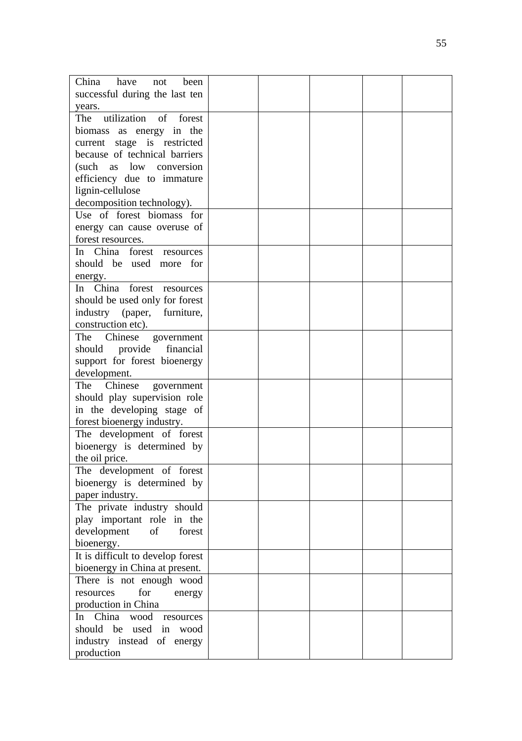| China<br>have<br>been<br>not       |  |  |  |
|------------------------------------|--|--|--|
| successful during the last ten     |  |  |  |
| years.                             |  |  |  |
| utilization<br>of<br>forest<br>The |  |  |  |
| biomass as energy in the           |  |  |  |
|                                    |  |  |  |
| current stage is restricted        |  |  |  |
| because of technical barriers      |  |  |  |
| low conversion<br>(such<br>as      |  |  |  |
| efficiency due to immature         |  |  |  |
| lignin-cellulose                   |  |  |  |
|                                    |  |  |  |
| decomposition technology).         |  |  |  |
| Use of forest biomass for          |  |  |  |
| energy can cause overuse of        |  |  |  |
| forest resources.                  |  |  |  |
| In China forest resources          |  |  |  |
| should be used more for            |  |  |  |
|                                    |  |  |  |
| energy.                            |  |  |  |
| In China forest<br>resources       |  |  |  |
| should be used only for forest     |  |  |  |
| industry<br>(paper,<br>furniture,  |  |  |  |
| construction etc).                 |  |  |  |
| The<br>Chinese<br>government       |  |  |  |
| financial<br>should provide        |  |  |  |
|                                    |  |  |  |
| support for forest bioenergy       |  |  |  |
| development.                       |  |  |  |
| Chinese<br>The<br>government       |  |  |  |
| should play supervision role       |  |  |  |
| in the developing stage of         |  |  |  |
| forest bioenergy industry.         |  |  |  |
|                                    |  |  |  |
| The development of forest          |  |  |  |
| bioenergy is determined by         |  |  |  |
| the oil price.                     |  |  |  |
| The development of forest          |  |  |  |
| bioenergy is determined by         |  |  |  |
| paper industry.                    |  |  |  |
| The private industry should        |  |  |  |
|                                    |  |  |  |
| play important role in the         |  |  |  |
| development<br>of<br>forest        |  |  |  |
| bioenergy.                         |  |  |  |
| It is difficult to develop forest  |  |  |  |
| bioenergy in China at present.     |  |  |  |
| There is not enough wood           |  |  |  |
| for<br>resources                   |  |  |  |
| energy                             |  |  |  |
| production in China                |  |  |  |
| China<br>wood resources<br>In      |  |  |  |
| should be used in wood             |  |  |  |
| industry instead of energy         |  |  |  |
| production                         |  |  |  |
|                                    |  |  |  |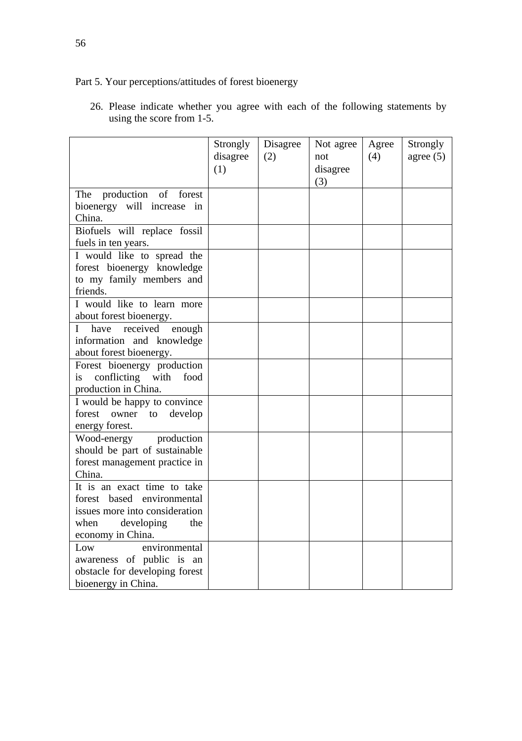## Part 5. Your perceptions/attitudes of forest bioenergy

|                                                                                                                                               | Strongly<br>disagree<br>(1) | Disagree<br>(2) | Not agree<br>not<br>disagree<br>(3) | Agree<br>(4) | Strongly<br>agree $(5)$ |
|-----------------------------------------------------------------------------------------------------------------------------------------------|-----------------------------|-----------------|-------------------------------------|--------------|-------------------------|
| production of<br>forest<br>The<br>bioenergy will increase in<br>China.                                                                        |                             |                 |                                     |              |                         |
| Biofuels will replace fossil<br>fuels in ten years.                                                                                           |                             |                 |                                     |              |                         |
| I would like to spread the<br>forest bioenergy knowledge<br>to my family members and<br>friends.                                              |                             |                 |                                     |              |                         |
| I would like to learn more<br>about forest bioenergy.                                                                                         |                             |                 |                                     |              |                         |
| $\mathbf{I}$<br>received<br>enough<br>have<br>information and knowledge<br>about forest bioenergy.                                            |                             |                 |                                     |              |                         |
| Forest bioenergy production<br>conflicting with<br>is<br>food<br>production in China.                                                         |                             |                 |                                     |              |                         |
| I would be happy to convince<br>forest<br>develop<br>owner<br>to<br>energy forest.                                                            |                             |                 |                                     |              |                         |
| Wood-energy<br>production<br>should be part of sustainable<br>forest management practice in<br>China.                                         |                             |                 |                                     |              |                         |
| It is an exact time to take<br>forest based environmental<br>issues more into consideration<br>developing<br>when<br>the<br>economy in China. |                             |                 |                                     |              |                         |
| environmental<br>Low<br>awareness of public is an<br>obstacle for developing forest<br>bioenergy in China.                                    |                             |                 |                                     |              |                         |

26. Please indicate whether you agree with each of the following statements by using the score from 1-5.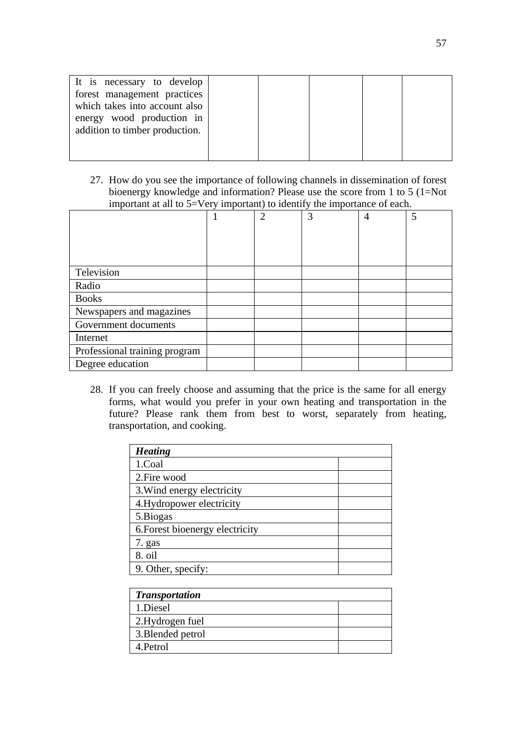| It is necessary to develop<br>forest management practices<br>which takes into account also<br>energy wood production in<br>addition to timber production. |  |  |  |
|-----------------------------------------------------------------------------------------------------------------------------------------------------------|--|--|--|
|                                                                                                                                                           |  |  |  |

27. How do you see the importance of following channels in dissemination of forest bioenergy knowledge and information? Please use the score from 1 to 5 (1=Not important at all to 5=Very important) to identify the importance of each.

|                               |  | $\overline{\phantom{a}}$ |   |   |   |
|-------------------------------|--|--------------------------|---|---|---|
|                               |  | $\mathfrak{D}$           | 3 | 4 | 5 |
|                               |  |                          |   |   |   |
|                               |  |                          |   |   |   |
|                               |  |                          |   |   |   |
| Television                    |  |                          |   |   |   |
| Radio                         |  |                          |   |   |   |
| <b>Books</b>                  |  |                          |   |   |   |
| Newspapers and magazines      |  |                          |   |   |   |
| Government documents          |  |                          |   |   |   |
| Internet                      |  |                          |   |   |   |
| Professional training program |  |                          |   |   |   |
| Degree education              |  |                          |   |   |   |

28. If you can freely choose and assuming that the price is the same for all energy forms, what would you prefer in your own heating and transportation in the future? Please rank them from best to worst, separately from heating, transportation, and cooking.

| <b>Heating</b>                  |  |  |
|---------------------------------|--|--|
| 1.Coal                          |  |  |
| 2. Fire wood                    |  |  |
| 3. Wind energy electricity      |  |  |
| 4. Hydropower electricity       |  |  |
| 5.Biogas                        |  |  |
| 6. Forest bioenergy electricity |  |  |
| 7. gas                          |  |  |
| 8. oil                          |  |  |
| 9. Other, specify:              |  |  |

| <b>Transportation</b> |  |
|-----------------------|--|
| 1.Diesel              |  |
| 2.Hydrogen fuel       |  |
| 3. Blended petrol     |  |
| 4. Petrol             |  |